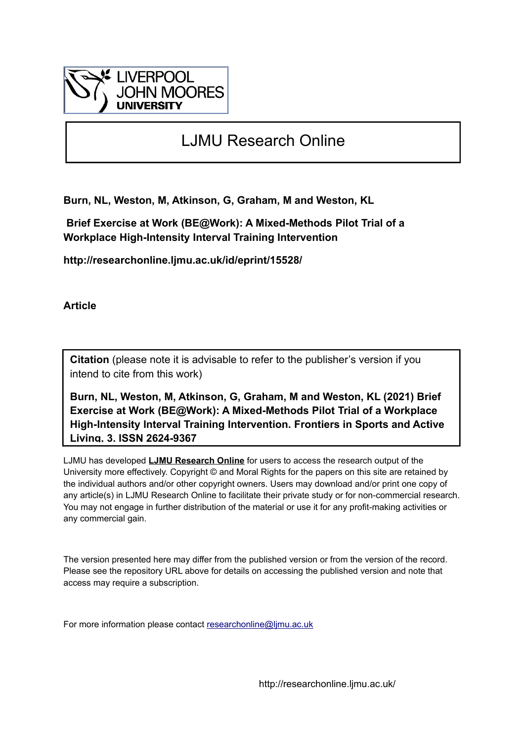

# LJMU Research Online

**Burn, NL, Weston, M, Atkinson, G, Graham, M and Weston, KL**

 **Brief Exercise at Work (BE@Work): A Mixed-Methods Pilot Trial of a Workplace High-Intensity Interval Training Intervention**

**http://researchonline.ljmu.ac.uk/id/eprint/15528/**

**Article**

**Citation** (please note it is advisable to refer to the publisher's version if you intend to cite from this work)

**Burn, NL, Weston, M, Atkinson, G, Graham, M and Weston, KL (2021) Brief Exercise at Work (BE@Work): A Mixed-Methods Pilot Trial of a Workplace High-Intensity Interval Training Intervention. Frontiers in Sports and Active Living, 3. ISSN 2624-9367** 

LJMU has developed **[LJMU Research Online](http://researchonline.ljmu.ac.uk/)** for users to access the research output of the University more effectively. Copyright © and Moral Rights for the papers on this site are retained by the individual authors and/or other copyright owners. Users may download and/or print one copy of any article(s) in LJMU Research Online to facilitate their private study or for non-commercial research. You may not engage in further distribution of the material or use it for any profit-making activities or any commercial gain.

The version presented here may differ from the published version or from the version of the record. Please see the repository URL above for details on accessing the published version and note that access may require a subscription.

For more information please contact [researchonline@ljmu.ac.uk](mailto:researchonline@ljmu.ac.uk)

http://researchonline.ljmu.ac.uk/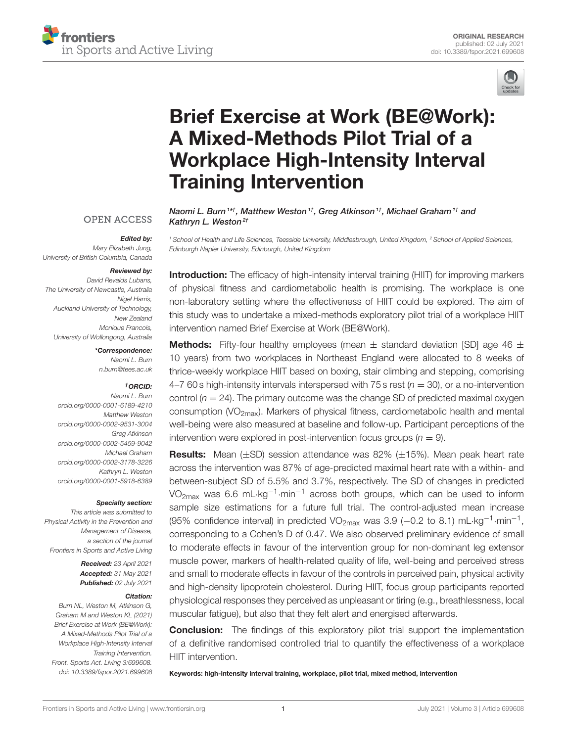



# [Brief Exercise at Work \(BE@Work\):](https://www.frontiersin.org/articles/10.3389/fspor.2021.699608/full) A Mixed-Methods Pilot Trial of a Workplace High-Intensity Interval Training Intervention

### **OPEN ACCESS**

#### Edited by:

*Mary Elizabeth Jung, University of British Columbia, Canada*

#### Reviewed by:

*David Revalds Lubans, The University of Newcastle, Australia Nigel Harris, Auckland University of Technology, New Zealand Monique Francois, University of Wollongong, Australia*

\*Correspondence:

*Naomi L. Burn [n.burn@tees.ac.uk](mailto:n.burn@tees.ac.uk)*

#### †ORCID:

*Naomi L. Burn [orcid.org/0000-0001-6189-4210](https://orcid.org/0000-0001-6189-4210) Matthew Weston [orcid.org/0000-0002-9531-3004](https://orcid.org/0000-0002-9531-3004) Greg Atkinson [orcid.org/0000-0002-5459-9042](https://orcid.org/0000-0002-5459-9042) Michael Graham [orcid.org/0000-0002-3178-3226](https://orcid.org/0000-0002-3178-3226) Kathryn L. Weston [orcid.org/0000-0001-5918-6389](https://orcid.org/0000-0001-5918-6389)*

#### Specialty section:

*This article was submitted to Physical Activity in the Prevention and Management of Disease, a section of the journal Frontiers in Sports and Active Living*

> Received: *23 April 2021* Accepted: *31 May 2021* Published: *02 July 2021*

#### Citation:

*Burn NL, Weston M, Atkinson G, Graham M and Weston KL (2021) Brief Exercise at Work (BE@Work): A Mixed-Methods Pilot Trial of a Workplace High-Intensity Interval Training Intervention. Front. Sports Act. Living 3:699608. doi: [10.3389/fspor.2021.699608](https://doi.org/10.3389/fspor.2021.699608)* Kathryn L. Weston<sup>2†</sup> *<sup>1</sup> School of Health and Life Sciences, Teesside University, Middlesbrough, United Kingdom, <sup>2</sup> School of Applied Sciences, Edinburgh Napier University, Edinburgh, United Kingdom*

Naomi L. Burn<sup>1\*†</sup>, Matthew Weston<sup>1†</sup>, Greg Atkinson<sup>1†</sup>, Michael Graham<sup>1†</sup> and

Introduction: The efficacy of high-intensity interval training (HIIT) for improving markers of physical fitness and cardiometabolic health is promising. The workplace is one non-laboratory setting where the effectiveness of HIIT could be explored. The aim of this study was to undertake a mixed-methods exploratory pilot trial of a workplace HIIT intervention named Brief Exercise at Work (BE@Work).

**Methods:** Fifty-four healthy employees (mean  $\pm$  standard deviation [SD] age 46  $\pm$ 10 years) from two workplaces in Northeast England were allocated to 8 weeks of thrice-weekly workplace HIIT based on boxing, stair climbing and stepping, comprising 4–7 60 s high-intensity intervals interspersed with 75 s rest (*n* = 30), or a no-intervention control  $(n = 24)$ . The primary outcome was the change SD of predicted maximal oxygen consumption  $\text{VO}_{2\text{max}}$ ). Markers of physical fitness, cardiometabolic health and mental well-being were also measured at baseline and follow-up. Participant perceptions of the intervention were explored in post-intervention focus groups  $(n = 9)$ .

**Results:** Mean  $(\pm SD)$  session attendance was 82%  $(\pm 15)$ . Mean peak heart rate across the intervention was 87% of age-predicted maximal heart rate with a within- and between-subject SD of 5.5% and 3.7%, respectively. The SD of changes in predicted VO<sub>2max</sub> was 6.6 mL·kg<sup>-1</sup>·min<sup>-1</sup> across both groups, which can be used to inform sample size estimations for a future full trial. The control-adjusted mean increase (95% confidence interval) in predicted VO<sub>2max</sub> was 3.9 (-0.2 to 8.1) mL·kg<sup>-1</sup>·min<sup>-1</sup>, corresponding to a Cohen's D of 0.47. We also observed preliminary evidence of small to moderate effects in favour of the intervention group for non-dominant leg extensor muscle power, markers of health-related quality of life, well-being and perceived stress and small to moderate effects in favour of the controls in perceived pain, physical activity and high-density lipoprotein cholesterol. During HIIT, focus group participants reported physiological responses they perceived as unpleasant or tiring (e.g., breathlessness, local muscular fatigue), but also that they felt alert and energised afterwards.

**Conclusion:** The findings of this exploratory pilot trial support the implementation of a definitive randomised controlled trial to quantify the effectiveness of a workplace HIIT intervention.

Keywords: high-intensity interval training, workplace, pilot trial, mixed method, intervention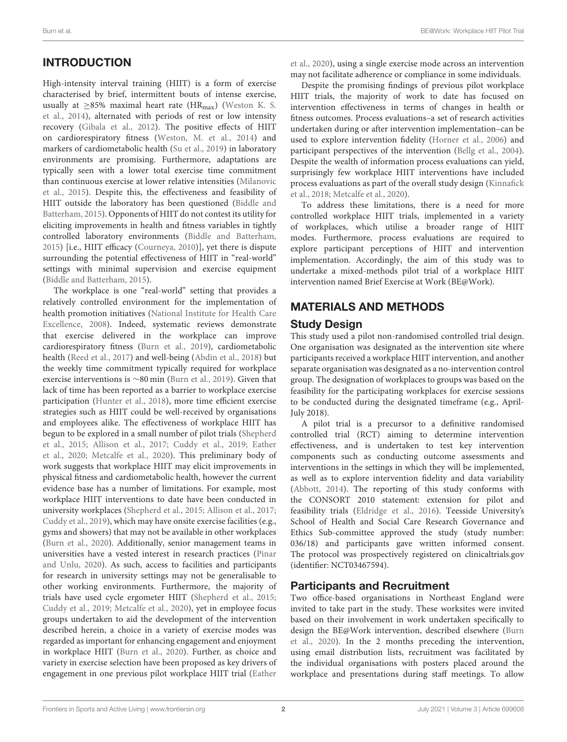# INTRODUCTION

High-intensity interval training (HIIT) is a form of exercise characterised by brief, intermittent bouts of intense exercise, usually at  $\geq$ 85% maximal heart rate (HR<sub>max</sub>) (Weston K. S. et al., [2014\)](#page-16-0), alternated with periods of rest or low intensity recovery [\(Gibala et al., 2012\)](#page-15-0). The positive effects of HIIT on cardiorespiratory fitness [\(Weston, M. et al., 2014\)](#page-16-1) and markers of cardiometabolic health [\(Su et al., 2019\)](#page-16-2) in laboratory environments are promising. Furthermore, adaptations are typically seen with a lower total exercise time commitment than continuous exercise at lower relative intensities (Milanovic et al., [2015\)](#page-15-1). Despite this, the effectiveness and feasibility of HIIT outside the laboratory has been questioned (Biddle and Batterham, [2015\)](#page-14-0). Opponents of HIIT do not contest its utility for eliciting improvements in health and fitness variables in tightly controlled laboratory environments [\(Biddle and Batterham,](#page-14-0) [2015\)](#page-14-0) [i.e., HIIT efficacy [\(Courneya, 2010\)](#page-14-1)], yet there is dispute surrounding the potential effectiveness of HIIT in "real-world" settings with minimal supervision and exercise equipment [\(Biddle and Batterham, 2015\)](#page-14-0).

The workplace is one "real-world" setting that provides a relatively controlled environment for the implementation of health promotion initiatives (National Institute for Health Care Excellence, [2008\)](#page-16-3). Indeed, systematic reviews demonstrate that exercise delivered in the workplace can improve cardiorespiratory fitness [\(Burn et al., 2019\)](#page-14-2), cardiometabolic health [\(Reed et al., 2017\)](#page-16-4) and well-being [\(Abdin et al., 2018\)](#page-14-3) but the weekly time commitment typically required for workplace exercise interventions is ∼80 min [\(Burn et al., 2019\)](#page-14-2). Given that lack of time has been reported as a barrier to workplace exercise participation [\(Hunter et al., 2018\)](#page-15-2), more time efficient exercise strategies such as HIIT could be well-received by organisations and employees alike. The effectiveness of workplace HIIT has begun to be explored in a small number of pilot trials (Shepherd et al., [2015;](#page-16-5) [Allison et al., 2017;](#page-14-4) [Cuddy et al., 2019;](#page-15-3) Eather et al., [2020;](#page-15-4) [Metcalfe et al., 2020\)](#page-15-5). This preliminary body of work suggests that workplace HIIT may elicit improvements in physical fitness and cardiometabolic health, however the current evidence base has a number of limitations. For example, most workplace HIIT interventions to date have been conducted in university workplaces [\(Shepherd et al., 2015;](#page-16-5) [Allison et al., 2017;](#page-14-4) [Cuddy et al., 2019\)](#page-15-3), which may have onsite exercise facilities (e.g., gyms and showers) that may not be available in other workplaces [\(Burn et al., 2020\)](#page-14-5). Additionally, senior management teams in universities have a vested interest in research practices (Pinar and Unlu, [2020\)](#page-16-6). As such, access to facilities and participants for research in university settings may not be generalisable to other working environments. Furthermore, the majority of trials have used cycle ergometer HIIT [\(Shepherd et al., 2015;](#page-16-5) [Cuddy et al., 2019;](#page-15-3) [Metcalfe et al., 2020\)](#page-15-5), yet in employee focus groups undertaken to aid the development of the intervention described herein, a choice in a variety of exercise modes was regarded as important for enhancing engagement and enjoyment in workplace HIIT [\(Burn et al., 2020\)](#page-14-5). Further, as choice and variety in exercise selection have been proposed as key drivers of engagement in one previous pilot workplace HIIT trial (Eather et al., [2020\)](#page-15-4), using a single exercise mode across an intervention may not facilitate adherence or compliance in some individuals.

Despite the promising findings of previous pilot workplace HIIT trials, the majority of work to date has focused on intervention effectiveness in terms of changes in health or fitness outcomes. Process evaluations–a set of research activities undertaken during or after intervention implementation–can be used to explore intervention fidelity [\(Horner et al., 2006\)](#page-15-6) and participant perspectives of the intervention [\(Bellg et al., 2004\)](#page-14-6). Despite the wealth of information process evaluations can yield, surprisingly few workplace HIIT interventions have included process evaluations as part of the overall study design (Kinnafick et al., [2018;](#page-15-7) [Metcalfe et al., 2020\)](#page-15-5).

To address these limitations, there is a need for more controlled workplace HIIT trials, implemented in a variety of workplaces, which utilise a broader range of HIIT modes. Furthermore, process evaluations are required to explore participant perceptions of HIIT and intervention implementation. Accordingly, the aim of this study was to undertake a mixed-methods pilot trial of a workplace HIIT intervention named Brief Exercise at Work (BE@Work).

# MATERIALS AND METHODS

### Study Design

This study used a pilot non-randomised controlled trial design. One organisation was designated as the intervention site where participants received a workplace HIIT intervention, and another separate organisation was designated as a no-intervention control group. The designation of workplaces to groups was based on the feasibility for the participating workplaces for exercise sessions to be conducted during the designated timeframe (e.g., April-July 2018).

A pilot trial is a precursor to a definitive randomised controlled trial (RCT) aiming to determine intervention effectiveness, and is undertaken to test key intervention components such as conducting outcome assessments and interventions in the settings in which they will be implemented, as well as to explore intervention fidelity and data variability [\(Abbott, 2014\)](#page-14-7). The reporting of this study conforms with the CONSORT 2010 statement: extension for pilot and feasibility trials [\(Eldridge et al., 2016\)](#page-15-8). Teesside University's School of Health and Social Care Research Governance and Ethics Sub-committee approved the study (study number: 036/18) and participants gave written informed consent. The protocol was prospectively registered on [clinicaltrials.gov](https://clinicaltrials.gov) (identifier: NCT03467594).

# Participants and Recruitment

Two office-based organisations in Northeast England were invited to take part in the study. These worksites were invited based on their involvement in work undertaken specifically to design the BE@Work intervention, described elsewhere (Burn et al., [2020\)](#page-14-5). In the 2 months preceding the intervention, using email distribution lists, recruitment was facilitated by the individual organisations with posters placed around the workplace and presentations during staff meetings. To allow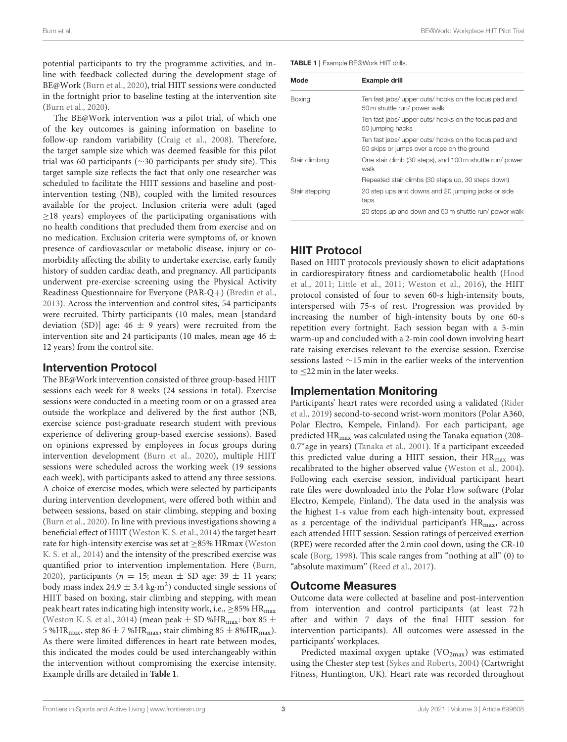potential participants to try the programme activities, and inline with feedback collected during the development stage of BE@Work [\(Burn et al., 2020\)](#page-14-5), trial HIIT sessions were conducted in the fortnight prior to baseline testing at the intervention site [\(Burn et al., 2020\)](#page-14-5).

The BE@Work intervention was a pilot trial, of which one of the key outcomes is gaining information on baseline to follow-up random variability [\(Craig et al., 2008\)](#page-14-8). Therefore, the target sample size which was deemed feasible for this pilot trial was 60 participants (∼30 participants per study site). This target sample size reflects the fact that only one researcher was scheduled to facilitate the HIIT sessions and baseline and postintervention testing (NB), coupled with the limited resources available for the project. Inclusion criteria were adult (aged  $\geq$ 18 years) employees of the participating organisations with no health conditions that precluded them from exercise and on no medication. Exclusion criteria were symptoms of, or known presence of cardiovascular or metabolic disease, injury or comorbidity affecting the ability to undertake exercise, early family history of sudden cardiac death, and pregnancy. All participants underwent pre-exercise screening using the Physical Activity Readiness Questionnaire for Everyone (PAR-Q+) [\(Bredin et al.,](#page-14-9) [2013\)](#page-14-9). Across the intervention and control sites, 54 participants were recruited. Thirty participants (10 males, mean [standard deviation (SD)] age:  $46 \pm 9$  years) were recruited from the intervention site and 24 participants (10 males, mean age 46  $\pm$ 12 years) from the control site.

### Intervention Protocol

The BE@Work intervention consisted of three group-based HIIT sessions each week for 8 weeks (24 sessions in total). Exercise sessions were conducted in a meeting room or on a grassed area outside the workplace and delivered by the first author (NB, exercise science post-graduate research student with previous experience of delivering group-based exercise sessions). Based on opinions expressed by employees in focus groups during intervention development [\(Burn et al., 2020\)](#page-14-5), multiple HIIT sessions were scheduled across the working week (19 sessions each week), with participants asked to attend any three sessions. A choice of exercise modes, which were selected by participants during intervention development, were offered both within and between sessions, based on stair climbing, stepping and boxing [\(Burn et al., 2020\)](#page-14-5). In line with previous investigations showing a beneficial effect of HIIT [\(Weston K. S. et al., 2014\)](#page-16-0) the target heart rate for high-intensity exercise was set at  $\geq$ 85% HRmax (Weston K. S. et al., [2014\)](#page-16-0) and the intensity of the prescribed exercise was quantified prior to intervention implementation. Here [\(Burn,](#page-14-10) [2020\)](#page-14-10), participants ( $n = 15$ ; mean  $\pm$  SD age: 39  $\pm$  11 years; body mass index 24.9  $\pm$  3.4 kg·m<sup>2</sup>) conducted single sessions of HIIT based on boxing, stair climbing and stepping, with mean peak heart rates indicating high intensity work, i.e.,  $\geq$ 85% HR<sub>max</sub> [\(Weston K. S. et al., 2014\)](#page-16-0) (mean peak  $\pm$  SD %HR<sub>max</sub>: box 85  $\pm$ 5 %HR<sub>max</sub>, step 86  $\pm$  7 %HR<sub>max</sub>, stair climbing 85  $\pm$  8%HR<sub>max</sub>). As there were limited differences in heart rate between modes, this indicated the modes could be used interchangeably within the intervention without compromising the exercise intensity. Example drills are detailed in **[Table 1](#page-3-0)**.

<span id="page-3-0"></span>TABLE 1 | Example BE@Work HIIT drills.

| Mode           | <b>Example drill</b>                                                                                 |  |  |  |  |
|----------------|------------------------------------------------------------------------------------------------------|--|--|--|--|
| <b>Boxing</b>  | Ten fast jabs/ upper cuts/ hooks on the focus pad and<br>50 m shuttle run/ power walk                |  |  |  |  |
|                | Ten fast jabs/ upper cuts/ hooks on the focus pad and<br>50 jumping hacks                            |  |  |  |  |
|                | Ten fast jabs/ upper cuts/ hooks on the focus pad and<br>50 skips or jumps over a rope on the ground |  |  |  |  |
| Stair climbing | One stair climb (30 steps), and 100 m shuttle run/ power<br>walk                                     |  |  |  |  |
|                | Repeated stair climbs (30 steps up, 30 steps down)                                                   |  |  |  |  |
| Stair stepping | 20 step ups and downs and 20 jumping jacks or side<br>taps                                           |  |  |  |  |
|                | 20 steps up and down and 50 m shuttle run/ power walk                                                |  |  |  |  |

# HIIT Protocol

Based on HIIT protocols previously shown to elicit adaptations in cardiorespiratory fitness and cardiometabolic health (Hood et al., [2011;](#page-15-9) [Little et al., 2011;](#page-15-10) [Weston et al., 2016\)](#page-16-7), the HIIT protocol consisted of four to seven 60-s high-intensity bouts, interspersed with 75-s of rest. Progression was provided by increasing the number of high-intensity bouts by one 60-s repetition every fortnight. Each session began with a 5-min warm-up and concluded with a 2-min cool down involving heart rate raising exercises relevant to the exercise session. Exercise sessions lasted ∼15 min in the earlier weeks of the intervention to ≤22 min in the later weeks.

# Implementation Monitoring

Participants' heart rates were recorded using a validated (Rider et al., [2019\)](#page-16-8) second-to-second wrist-worn monitors (Polar A360, Polar Electro, Kempele, Finland). For each participant, age predicted HRmax was calculated using the Tanaka equation (208- 0.7<sup>∗</sup> age in years) [\(Tanaka et al., 2001\)](#page-16-9). If a participant exceeded this predicted value during a HIIT session, their  $HR_{max}$  was recalibrated to the higher observed value [\(Weston et al., 2004\)](#page-16-10). Following each exercise session, individual participant heart rate files were downloaded into the Polar Flow software (Polar Electro, Kempele, Finland). The data used in the analysis was the highest 1-s value from each high-intensity bout, expressed as a percentage of the individual participant's HR<sub>max</sub>, across each attended HIIT session. Session ratings of perceived exertion (RPE) were recorded after the 2 min cool down, using the CR-10 scale [\(Borg, 1998\)](#page-14-11). This scale ranges from "nothing at all" (0) to "absolute maximum" [\(Reed et al., 2017\)](#page-16-4).

### Outcome Measures

Outcome data were collected at baseline and post-intervention from intervention and control participants (at least 72 h after and within 7 days of the final HIIT session for intervention participants). All outcomes were assessed in the participants' workplaces.

Predicted maximal oxygen uptake (VO<sub>2max</sub>) was estimated using the Chester step test [\(Sykes and Roberts, 2004\)](#page-16-11) (Cartwright Fitness, Huntington, UK). Heart rate was recorded throughout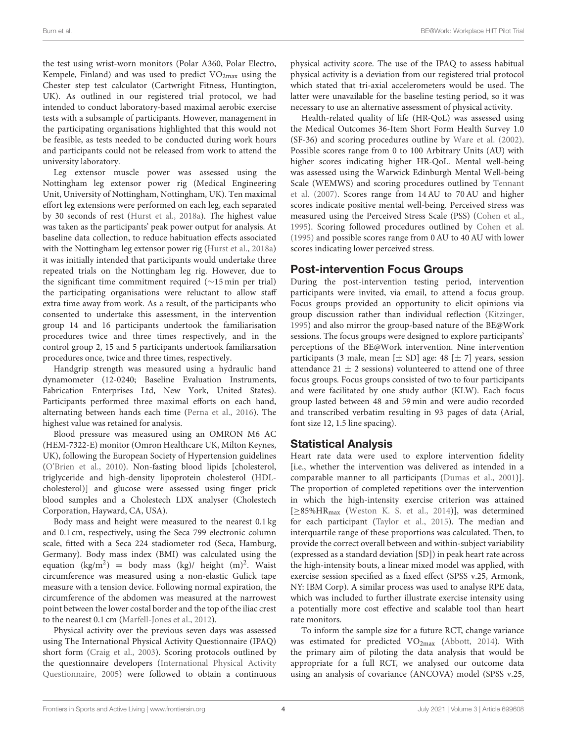the test using wrist-worn monitors (Polar A360, Polar Electro, Kempele, Finland) and was used to predict  $VO<sub>2max</sub>$  using the Chester step test calculator (Cartwright Fitness, Huntington, UK). As outlined in our registered trial protocol, we had intended to conduct laboratory-based maximal aerobic exercise tests with a subsample of participants. However, management in the participating organisations highlighted that this would not be feasible, as tests needed to be conducted during work hours and participants could not be released from work to attend the university laboratory.

Leg extensor muscle power was assessed using the Nottingham leg extensor power rig (Medical Engineering Unit, University of Nottingham, Nottingham, UK). Ten maximal effort leg extensions were performed on each leg, each separated by 30 seconds of rest [\(Hurst et al., 2018a\)](#page-15-11). The highest value was taken as the participants' peak power output for analysis. At baseline data collection, to reduce habituation effects associated with the Nottingham leg extensor power rig [\(Hurst et al., 2018a\)](#page-15-11) it was initially intended that participants would undertake three repeated trials on the Nottingham leg rig. However, due to the significant time commitment required (∼15 min per trial) the participating organisations were reluctant to allow staff extra time away from work. As a result, of the participants who consented to undertake this assessment, in the intervention group 14 and 16 participants undertook the familiarisation procedures twice and three times respectively, and in the control group 2, 15 and 5 participants undertook familiarsation procedures once, twice and three times, respectively.

Handgrip strength was measured using a hydraulic hand dynamometer (12-0240; Baseline Evaluation Instruments, Fabrication Enterprises Ltd, New York, United States). Participants performed three maximal efforts on each hand, alternating between hands each time [\(Perna et al., 2016\)](#page-16-12). The highest value was retained for analysis.

Blood pressure was measured using an OMRON M6 AC (HEM-7322-E) monitor (Omron Healthcare UK, Milton Keynes, UK), following the European Society of Hypertension guidelines [\(O'Brien et al., 2010\)](#page-16-13). Non-fasting blood lipids [cholesterol, triglyceride and high-density lipoprotein cholesterol (HDLcholesterol)] and glucose were assessed using finger prick blood samples and a Cholestech LDX analyser (Cholestech Corporation, Hayward, CA, USA).

Body mass and height were measured to the nearest 0.1 kg and 0.1 cm, respectively, using the Seca 799 electronic column scale, fitted with a Seca 224 stadiometer rod (Seca, Hamburg, Germany). Body mass index (BMI) was calculated using the equation (kg/m<sup>2</sup>) = body mass (kg)/ height (m)<sup>2</sup>. Waist circumference was measured using a non-elastic Gulick tape measure with a tension device. Following normal expiration, the circumference of the abdomen was measured at the narrowest point between the lower costal border and the top of the iliac crest to the nearest 0.1 cm [\(Marfell-Jones et al., 2012\)](#page-15-12).

Physical activity over the previous seven days was assessed using The International Physical Activity Questionnaire (IPAQ) short form [\(Craig et al., 2003\)](#page-14-12). Scoring protocols outlined by the questionnaire developers (International Physical Activity Questionnaire, [2005\)](#page-15-13) were followed to obtain a continuous physical activity score. The use of the IPAQ to assess habitual physical activity is a deviation from our registered trial protocol which stated that tri-axial accelerometers would be used. The latter were unavailable for the baseline testing period, so it was necessary to use an alternative assessment of physical activity.

Health-related quality of life (HR-QoL) was assessed using the Medical Outcomes 36-Item Short Form Health Survey 1.0 (SF-36) and scoring procedures outline by [Ware et al. \(2002\)](#page-16-14). Possible scores range from 0 to 100 Arbitrary Units (AU) with higher scores indicating higher HR-QoL. Mental well-being was assessed using the Warwick Edinburgh Mental Well-being Scale (WEMWS) and scoring procedures outlined by Tennant et al. [\(2007\)](#page-16-15). Scores range from 14 AU to 70 AU and higher scores indicate positive mental well-being. Perceived stress was measured using the Perceived Stress Scale (PSS) [\(Cohen et al.,](#page-14-13) [1995\)](#page-14-13). Scoring followed procedures outlined by [Cohen et al.](#page-14-13) [\(1995\)](#page-14-13) and possible scores range from 0 AU to 40 AU with lower scores indicating lower perceived stress.

# Post-intervention Focus Groups

During the post-intervention testing period, intervention participants were invited, via email, to attend a focus group. Focus groups provided an opportunity to elicit opinions via group discussion rather than individual reflection [\(Kitzinger,](#page-15-14) [1995\)](#page-15-14) and also mirror the group-based nature of the BE@Work sessions. The focus groups were designed to explore participants' perceptions of the BE@Work intervention. Nine intervention participants (3 male, mean  $[\pm S D]$  age: 48  $[\pm 7]$  years, session attendance 21  $\pm$  2 sessions) volunteered to attend one of three focus groups. Focus groups consisted of two to four participants and were facilitated by one study author (KLW). Each focus group lasted between 48 and 59 min and were audio recorded and transcribed verbatim resulting in 93 pages of data (Arial, font size 12, 1.5 line spacing).

# Statistical Analysis

Heart rate data were used to explore intervention fidelity [i.e., whether the intervention was delivered as intended in a comparable manner to all participants [\(Dumas et al., 2001\)](#page-15-15)]. The proportion of completed repetitions over the intervention in which the high-intensity exercise criterion was attained [≥85%HRmax [\(Weston K. S. et al., 2014\)](#page-16-0)], was determined for each participant [\(Taylor et al., 2015\)](#page-16-16). The median and interquartile range of these proportions was calculated. Then, to provide the correct overall between and within-subject variability (expressed as a standard deviation [SD]) in peak heart rate across the high-intensity bouts, a linear mixed model was applied, with exercise session specified as a fixed effect (SPSS v.25, Armonk, NY: IBM Corp). A similar process was used to analyse RPE data, which was included to further illustrate exercise intensity using a potentially more cost effective and scalable tool than heart rate monitors.

To inform the sample size for a future RCT, change variance was estimated for predicted VO<sub>2max</sub> [\(Abbott, 2014\)](#page-14-7). With the primary aim of piloting the data analysis that would be appropriate for a full RCT, we analysed our outcome data using an analysis of covariance (ANCOVA) model (SPSS v.25,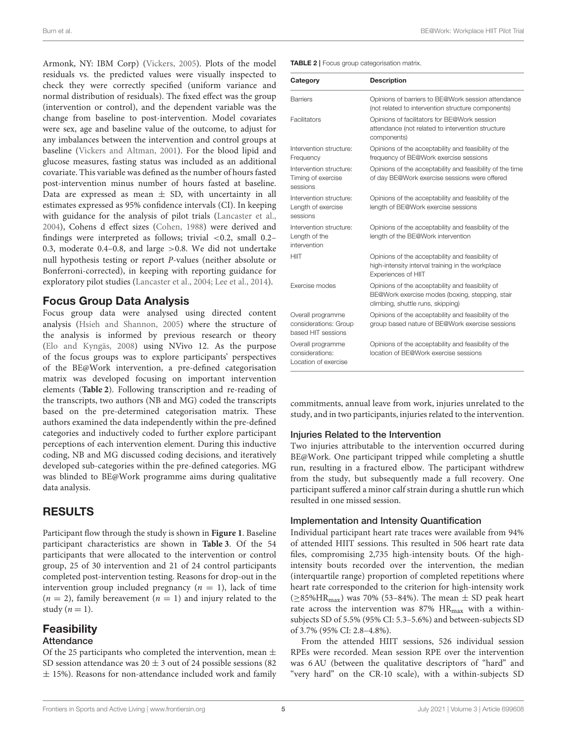Armonk, NY: IBM Corp) [\(Vickers, 2005\)](#page-16-17). Plots of the model residuals vs. the predicted values were visually inspected to check they were correctly specified (uniform variance and normal distribution of residuals). The fixed effect was the group (intervention or control), and the dependent variable was the change from baseline to post-intervention. Model covariates were sex, age and baseline value of the outcome, to adjust for any imbalances between the intervention and control groups at baseline [\(Vickers and Altman, 2001\)](#page-16-18). For the blood lipid and glucose measures, fasting status was included as an additional covariate. This variable was defined as the number of hours fasted post-intervention minus number of hours fasted at baseline. Data are expressed as mean  $\pm$  SD, with uncertainty in all estimates expressed as 95% confidence intervals (CI). In keeping with guidance for the analysis of pilot trials [\(Lancaster et al.,](#page-15-16) [2004\)](#page-15-16), Cohens d effect sizes [\(Cohen, 1988\)](#page-14-14) were derived and findings were interpreted as follows; trivial <0.2, small 0.2– 0.3, moderate 0.4–0.8, and large >0.8. We did not undertake null hypothesis testing or report P-values (neither absolute or Bonferroni-corrected), in keeping with reporting guidance for exploratory pilot studies [\(Lancaster et al., 2004;](#page-15-16) [Lee et al., 2014\)](#page-15-17).

# Focus Group Data Analysis

Focus group data were analysed using directed content analysis [\(Hsieh and Shannon, 2005\)](#page-15-18) where the structure of the analysis is informed by previous research or theory [\(Elo and Kyngäs, 2008\)](#page-15-19) using NVivo 12. As the purpose of the focus groups was to explore participants' perspectives of the BE@Work intervention, a pre-defined categorisation matrix was developed focusing on important intervention elements (**[Table 2](#page-5-0)**). Following transcription and re-reading of the transcripts, two authors (NB and MG) coded the transcripts based on the pre-determined categorisation matrix. These authors examined the data independently within the pre-defined categories and inductively coded to further explore participant perceptions of each intervention element. During this inductive coding, NB and MG discussed coding decisions, and iteratively developed sub-categories within the pre-defined categories. MG was blinded to BE@Work programme aims during qualitative data analysis.

# RESULTS

Participant flow through the study is shown in **[Figure 1](#page-6-0)**. Baseline participant characteristics are shown in **[Table 3](#page-7-0)**. Of the 54 participants that were allocated to the intervention or control group, 25 of 30 intervention and 21 of 24 control participants completed post-intervention testing. Reasons for drop-out in the intervention group included pregnancy  $(n = 1)$ , lack of time  $(n = 2)$ , family bereavement  $(n = 1)$  and injury related to the study  $(n = 1)$ .

# **Feasibility**

#### Attendance

Of the 25 participants who completed the intervention, mean  $\pm$ SD session attendance was  $20 \pm 3$  out of 24 possible sessions (82)  $\pm$  15%). Reasons for non-attendance included work and family <span id="page-5-0"></span>TABLE 2 | Focus group categorisation matrix.

| Category                                                         | <b>Description</b>                                                                                                                       |  |  |  |  |  |
|------------------------------------------------------------------|------------------------------------------------------------------------------------------------------------------------------------------|--|--|--|--|--|
| <b>Barriers</b>                                                  | Opinions of barriers to BE@Work session attendance<br>(not related to intervention structure components)                                 |  |  |  |  |  |
| Facilitators                                                     | Opinions of facilitators for BE@Work session<br>attendance (not related to intervention structure<br>components)                         |  |  |  |  |  |
| Intervention structure:<br>Frequency                             | Opinions of the acceptability and feasibility of the<br>frequency of BE@Work exercise sessions                                           |  |  |  |  |  |
| Intervention structure:<br>Timing of exercise<br>sessions        | Opinions of the acceptability and feasibility of the time<br>of day BE@Work exercise sessions were offered                               |  |  |  |  |  |
| Intervention structure:<br>Length of exercise<br>sessions        | Opinions of the acceptability and feasibility of the<br>length of BE@Work exercise sessions                                              |  |  |  |  |  |
| Intervention structure:<br>Length of the<br>intervention         | Opinions of the acceptability and feasibility of the<br>length of the BE@Work intervention                                               |  |  |  |  |  |
| <b>HIIT</b>                                                      | Opinions of the acceptability and feasibility of<br>high-intensity interval training in the workplace<br>Experiences of HIIT             |  |  |  |  |  |
| Exercise modes                                                   | Opinions of the acceptability and feasibility of<br>BE@Work exercise modes (boxing, stepping, stair<br>climbing, shuttle runs, skipping) |  |  |  |  |  |
| Overall programme<br>considerations: Group<br>based HIT sessions | Opinions of the acceptability and feasibility of the<br>group based nature of BE@Work exercise sessions                                  |  |  |  |  |  |
| Overall programme<br>considerations:<br>Location of exercise     | Opinions of the acceptability and feasibility of the<br>location of BE@Work exercise sessions                                            |  |  |  |  |  |

commitments, annual leave from work, injuries unrelated to the study, and in two participants, injuries related to the intervention.

#### Injuries Related to the Intervention

Two injuries attributable to the intervention occurred during BE@Work. One participant tripped while completing a shuttle run, resulting in a fractured elbow. The participant withdrew from the study, but subsequently made a full recovery. One participant suffered a minor calf strain during a shuttle run which resulted in one missed session.

#### Implementation and Intensity Quantification

Individual participant heart rate traces were available from 94% of attended HIIT sessions. This resulted in 506 heart rate data files, compromising 2,735 high-intensity bouts. Of the highintensity bouts recorded over the intervention, the median (interquartile range) proportion of completed repetitions where heart rate corresponded to the criterion for high-intensity work  $(\geq 85\%$ HR<sub>max</sub>) was 70% (53–84%). The mean  $\pm$  SD peak heart rate across the intervention was  $87\%$  HR<sub>max</sub> with a withinsubjects SD of 5.5% (95% CI: 5.3–5.6%) and between-subjects SD of 3.7% (95% CI: 2.8–4.8%).

From the attended HIIT sessions, 526 individual session RPEs were recorded. Mean session RPE over the intervention was 6 AU (between the qualitative descriptors of "hard" and "very hard" on the CR-10 scale), with a within-subjects SD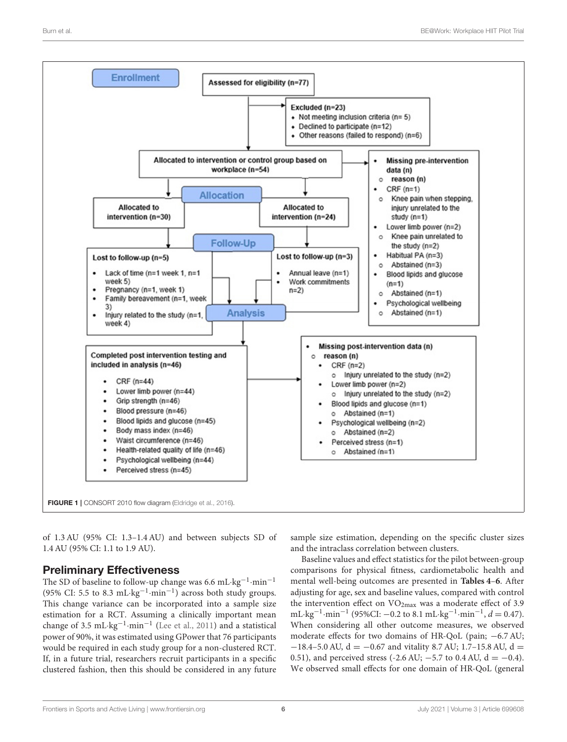

<span id="page-6-0"></span>of 1.3 AU (95% CI: 1.3–1.4 AU) and between subjects SD of 1.4 AU (95% CI: 1.1 to 1.9 AU).

# Preliminary Effectiveness

The SD of baseline to follow-up change was 6.6 mL·kg<sup>-1</sup>·min<sup>-1</sup> (95% CI: 5.5 to 8.3 mL·kg<sup>-1</sup>·min<sup>-1</sup>) across both study groups. This change variance can be incorporated into a sample size estimation for a RCT. Assuming a clinically important mean change of 3.5 mL·kg−<sup>1</sup> ·min−<sup>1</sup> [\(Lee et al., 2011\)](#page-15-20) and a statistical power of 90%, it was estimated using GPower that 76 participants would be required in each study group for a non-clustered RCT. If, in a future trial, researchers recruit participants in a specific clustered fashion, then this should be considered in any future sample size estimation, depending on the specific cluster sizes and the intraclass correlation between clusters.

Baseline values and effect statistics for the pilot between-group comparisons for physical fitness, cardiometabolic health and mental well-being outcomes are presented in **[Tables 4](#page-7-1)**–**[6](#page-8-0)**. After adjusting for age, sex and baseline values, compared with control the intervention effect on  $VO<sub>2max</sub>$  was a moderate effect of 3.9 mL·kg<sup>-1</sup>·min<sup>-1</sup> (95%CI: -0.2 to 8.1 mL·kg<sup>-1</sup>·min<sup>-1</sup>,  $d = 0.47$ ). When considering all other outcome measures, we observed moderate effects for two domains of HR-QoL (pain; −6.7 AU;  $-18.4-5.0$  AU,  $d = -0.67$  and vitality 8.7 AU; 1.7–15.8 AU,  $d =$ 0.51), and perceived stress (-2.6 AU;  $-5.7$  to 0.4 AU, d =  $-0.4$ ). We observed small effects for one domain of HR-QoL (general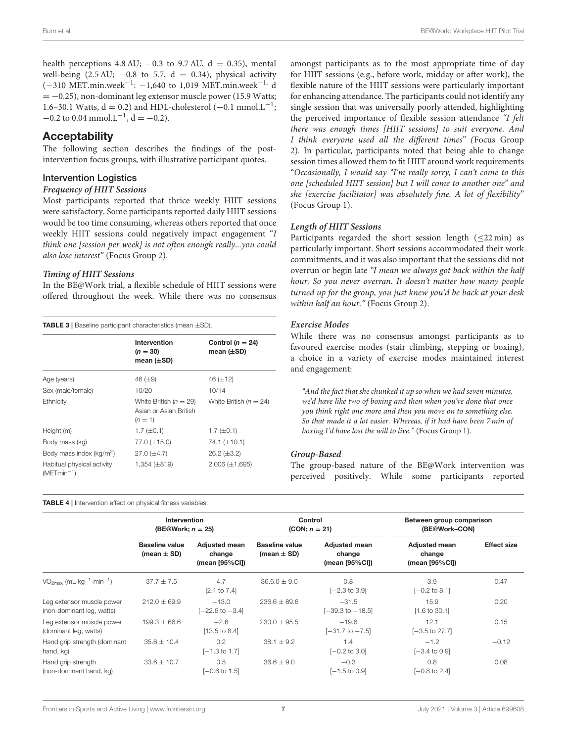health perceptions 4.8 AU;  $-0.3$  to 9.7 AU,  $d = 0.35$ ), mental well-being (2.5 AU;  $-0.8$  to 5.7, d = 0.34), physical activity (−310 MET.min.week−<sup>1</sup> : −1,640 to 1,019 MET.min.week−1, d  $= -0.25$ ), non-dominant leg extensor muscle power (15.9 Watts; 1.6–30.1 Watts,  $d = 0.2$ ) and HDL-cholesterol (-0.1 mmol.L<sup>-1</sup>;  $-0.2$  to 0.04 mmol.L<sup>-1</sup>, d = -0.2).

### **Acceptability**

The following section describes the findings of the postintervention focus groups, with illustrative participant quotes.

#### Intervention Logistics

#### **Frequency of HIIT Sessions**

Most participants reported that thrice weekly HIIT sessions were satisfactory. Some participants reported daily HIIT sessions would be too time consuming, whereas others reported that once weekly HIIT sessions could negatively impact engagement "I think one [session per week] is not often enough really...you could also lose interest" (Focus Group 2).

#### **Timing of HIIT Sessions**

In the BE@Work trial, a flexible schedule of HIIT sessions were offered throughout the week. While there was no consensus

<span id="page-7-0"></span>TABLE 3 | Baseline participant characteristics (mean ±SD).

|                                               | Intervention<br>$(n = 30)$<br>mean $(\pm SD)$                     | Control ( $n = 24$ )<br>mean $(\pm SD)$ |
|-----------------------------------------------|-------------------------------------------------------------------|-----------------------------------------|
| Age (years)                                   | 46 $(\pm 9)$                                                      | 46 $(\pm 12)$                           |
| Sex (male/female)                             | 10/20                                                             | 10/14                                   |
| Ethnicity                                     | White British ( $n = 29$ )<br>Asian or Asian British<br>$(n = 1)$ | White British ( $n = 24$ )              |
| Height (m)                                    | $1.7 \ (\pm 0.1)$                                                 | $1.7 \ (\pm 0.1)$                       |
| Body mass (kg)                                | 77.0 (±15.0)                                                      | 74.1 $(\pm 10.1)$                       |
| Body mass index (kg/m <sup>2</sup> )          | $27.0 (\pm 4.7)$                                                  | $26.2 (\pm 3.2)$                        |
| Habitual physical activity<br>$(METmin^{-1})$ | 1,354 (±819)                                                      | $2,006 (\pm 1,695)$                     |

<span id="page-7-1"></span>TABLE 4 | Intervention effect on physical fitness variables.

amongst participants as to the most appropriate time of day for HIIT sessions (e.g., before work, midday or after work), the flexible nature of the HIIT sessions were particularly important for enhancing attendance. The participants could not identify any single session that was universally poorly attended, highlighting the perceived importance of flexible session attendance "I felt there was enough times [HIIT sessions] to suit everyone. And I think everyone used all the different times" (Focus Group 2). In particular, participants noted that being able to change session times allowed them to fit HIIT around work requirements "Occasionally, I would say "I'm really sorry, I can't come to this one [scheduled HIIT session] but I will come to another one" and she [exercise facilitator] was absolutely fine. A lot of flexibility" (Focus Group 1).

#### **Length of HIIT Sessions**

Participants regarded the short session length (≤22 min) as particularly important. Short sessions accommodated their work commitments, and it was also important that the sessions did not overrun or begin late "I mean we always got back within the half hour. So you never overran. It doesn't matter how many people turned up for the group, you just knew you'd be back at your desk within half an hour." (Focus Group 2).

#### **Exercise Modes**

While there was no consensus amongst participants as to favoured exercise modes (stair climbing, stepping or boxing), a choice in a variety of exercise modes maintained interest and engagement:

"And the fact that she chunked it up so when we had seven minutes, we'd have like two of boxing and then when you've done that once you think right one more and then you move on to something else. So that made it a lot easier. Whereas, if it had have been 7 min of boxing I'd have lost the will to live." (Focus Group 1).

#### **Group-Based**

The group-based nature of the BE@Work intervention was perceived positively. While some participants reported

|                                                                   | Intervention<br>(BE@Work; $n = 25$ )     |                                                  | Control<br>$(CON; n = 21)$               |                                                  | Between group comparison<br>(BE@Work-CON)        |                    |
|-------------------------------------------------------------------|------------------------------------------|--------------------------------------------------|------------------------------------------|--------------------------------------------------|--------------------------------------------------|--------------------|
|                                                                   | <b>Baseline value</b><br>(mean $\pm$ SD) | <b>Adjusted mean</b><br>change<br>(mean [95%CI]) | <b>Baseline value</b><br>(mean $\pm$ SD) | <b>Adjusted mean</b><br>change<br>(mean [95%CI]) | <b>Adjusted mean</b><br>change<br>(mean [95%CI]) | <b>Effect size</b> |
| $VO2max$ (mL $\cdot$ kg <sup>-1</sup> $\cdot$ min <sup>-1</sup> ) | $37.7 \pm 7.5$                           | 4.7<br>$[2.1 \text{ to } 7.4]$                   | $36.6.0 \pm 9.0$                         | 0.8<br>$[-2.3 \text{ to } 3.9]$                  | 3.9<br>$[-0.2 \text{ to } 8.1]$                  | 0.47               |
| Leg extensor muscle power<br>(non-dominant leg, watts)            | $212.0 \pm 69.9$                         | $-13.0$<br>$[-22.6 \text{ to } -3.4]$            | $236.6 \pm 89.6$                         | $-31.5$<br>$[-39.3 \text{ to } -18.5]$           | 15.9<br>$[1.6 \text{ to } 30.1]$                 | 0.20               |
| Leg extensor muscle power<br>(dominant leg, watts)                | $199.3 \pm 66.6$                         | $-2.6$<br>$[13.5 \text{ to } 8.4]$               | $230.0 \pm 95.5$                         | $-19.6$<br>$[-31.7 \text{ to } -7.5]$            | 12.1<br>$[-3.5 \text{ to } 27.7]$                | 0.15               |
| Hand grip strength (dominant<br>hand, kg)                         | $35.6 \pm 10.4$                          | 0.2<br>$[-1.3 \text{ to } 1.7]$                  | $38.1 \pm 9.2$                           | 1.4<br>$[-0.2 \text{ to } 3.0]$                  | $-1.2$<br>$[-3.4 \text{ to } 0.9]$               | $-0.12$            |
| Hand grip strength<br>(non-dominant hand, kg)                     | $33.6 \pm 10.7$                          | 0.5<br>$[-0.6 \text{ to } 1.5]$                  | $36.6 \pm 9.0$                           | $-0.3$<br>$[-1.5 \text{ to } 0.9]$               | 0.8<br>$[-0.8 \text{ to } 2.4]$                  | 0.08               |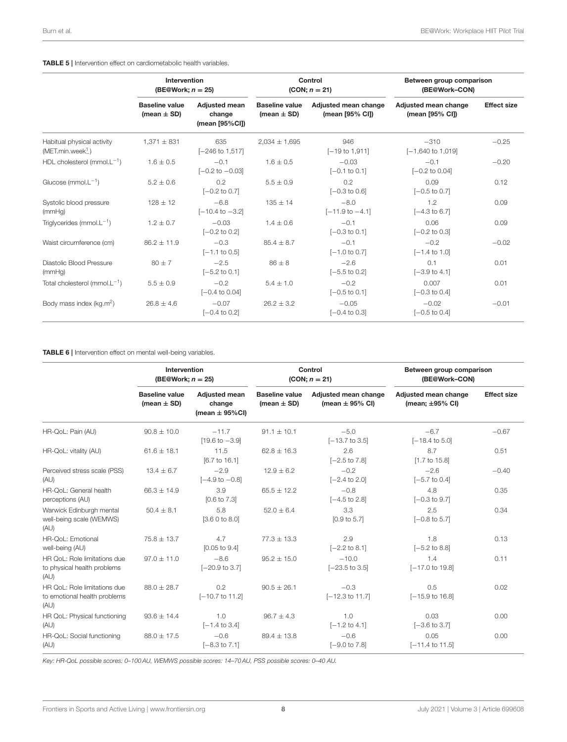#### TABLE 5 | Intervention effect on cardiometabolic health variables.

|                                                            | Intervention<br>(BE@Work; $n = 25$ )     |                                                  | Control<br>$(CON; n = 21)$               |                                         | Between group comparison<br>(BE@Work-CON) |                    |
|------------------------------------------------------------|------------------------------------------|--------------------------------------------------|------------------------------------------|-----------------------------------------|-------------------------------------------|--------------------|
|                                                            | <b>Baseline value</b><br>(mean $\pm$ SD) | <b>Adiusted mean</b><br>change<br>(mean [95%CI]) | <b>Baseline value</b><br>(mean $\pm$ SD) | Adiusted mean change<br>(mean [95% CI]) | Adjusted mean change<br>(mean [95% CI])   | <b>Effect size</b> |
| Habitual physical activity<br>(MET.min.week <sup>1</sup> ) | $1,371 \pm 831$                          | 635<br>$[-246 \text{ to } 1,517]$                | $2.034 \pm 1.695$                        | 946<br>$[-19$ to 1,911]                 | $-310$<br>$[-1,640 \text{ to } 1,019]$    | $-0.25$            |
| HDL cholesterol (mmol. $L^{-1}$ )                          | $1.6 \pm 0.5$                            | $-0.1$<br>$[-0.2 \text{ to } -0.03]$             | $1.6 \pm 0.5$                            | $-0.03$<br>$[-0.1 \text{ to } 0.1]$     | $-0.1$<br>$[-0.2 \text{ to } 0.04]$       | $-0.20$            |
| Glucose (mmol. $L^{-1}$ )                                  | $5.2 \pm 0.6$                            | 0.2<br>$[-0.2 \text{ to } 0.7]$                  | $5.5 \pm 0.9$                            | 0.2<br>$[-0.3 \text{ to } 0.6]$         | 0.09<br>$[-0.5 \text{ to } 0.7]$          | 0.12               |
| Systolic blood pressure<br>(mmHq)                          | $128 \pm 12$                             | $-6.8$<br>$[-10.4 \text{ to } -3.2]$             | $135 \pm 14$                             | $-8.0$<br>$[-11.9 \text{ to } -4.1]$    | 1.2<br>$[-4.3 \text{ to } 6.7]$           | 0.09               |
| Triglycerides (mmol. $L^{-1}$ )                            | $1.2 \pm 0.7$                            | $-0.03$<br>$[-0.2 \text{ to } 0.2]$              | $1.4 \pm 0.6$                            | $-0.1$<br>$[-0.3 \text{ to } 0.1]$      | 0.06<br>$[-0.2 \text{ to } 0.3]$          | 0.09               |
| Waist circumference (cm)                                   | $86.2 \pm 11.9$                          | $-0.3$<br>$[-1.1 \text{ to } 0.5]$               | $85.4 \pm 8.7$                           | $-0.1$<br>$[-1.0 \text{ to } 0.7]$      | $-0.2$<br>$[-1.4 \text{ to } 1.0]$        | $-0.02$            |
| Diastolic Blood Pressure<br>(mmHq)                         | $80 + 7$                                 | $-2.5$<br>$[-5.2 \text{ to } 0.1]$               | $86 \pm 8$                               | $-2.6$<br>$[-5.5 \text{ to } 0.2]$      | 0.1<br>$[-3.9 \text{ to } 4.1]$           | 0.01               |
| Total cholesterol (mmol. $L^{-1}$ )                        | $5.5 \pm 0.9$                            | $-0.2$<br>$[-0.4 \text{ to } 0.04]$              | $5.4 \pm 1.0$                            | $-0.2$<br>$[-0.5 \text{ to } 0.1]$      | 0.007<br>$[-0.3 \text{ to } 0.4]$         | 0.01               |
| Body mass index (kg.m <sup>2</sup> )                       | $26.8 \pm 4.6$                           | $-0.07$<br>$[-0.4 \text{ to } 0.2]$              | $26.2 \pm 3.2$                           | $-0.05$<br>$[-0.4 \text{ to } 0.3]$     | $-0.02$<br>$[-0.5 \text{ to } 0.4]$       | $-0.01$            |

#### <span id="page-8-0"></span>TABLE 6 | Intervention effect on mental well-being variables.

|                                                                      | Intervention<br>(BE@Work; $n = 25$ )     |                                                      | Control<br>$(CON; n = 21)$               |                                             | Between group comparison<br>(BE@Work-CON)    |                    |
|----------------------------------------------------------------------|------------------------------------------|------------------------------------------------------|------------------------------------------|---------------------------------------------|----------------------------------------------|--------------------|
|                                                                      | <b>Baseline value</b><br>(mean $\pm$ SD) | <b>Adiusted mean</b><br>change<br>(mean $\pm$ 95%CI) | <b>Baseline value</b><br>(mean $\pm$ SD) | Adjusted mean change<br>(mean $\pm$ 95% CI) | Adjusted mean change<br>(mean; $\pm$ 95% CI) | <b>Effect size</b> |
| HR-QoL: Pain (AU)                                                    | $90.8 \pm 10.0$                          | $-11.7$<br>$[19.6 \text{ to } -3.9]$                 | $91.1 \pm 10.1$                          | $-5.0$<br>$[-13.7 \text{ to } 3.5]$         | $-6.7$<br>$[-18.4 \text{ to } 5.0]$          | $-0.67$            |
| HR-QoL: vitality (AU)                                                | $61.6 \pm 18.1$                          | 11.5<br>[6.7 to 16.1]                                | $62.8 + 16.3$                            | 2.6<br>$[-2.5 \text{ to } 7.8]$             | 8.7<br>$[1.7 \text{ to } 15.8]$              | 0.51               |
| Perceived stress scale (PSS)<br>(AU)                                 | $13.4 \pm 6.7$                           | $-2.9$<br>$[-4.9 \text{ to } -0.8]$                  | $12.9 \pm 6.2$                           | $-0.2$<br>$[-2.4 \text{ to } 2.0]$          | $-2.6$<br>$[-5.7 \text{ to } 0.4]$           | $-0.40$            |
| HR-QoL: General health<br>perceptions (AU)                           | $66.3 \pm 14.9$                          | 3.9<br>$[0.6 \text{ to } 7.3]$                       | $65.5 + 12.2$                            | $-0.8$<br>$[-4.5 \text{ to } 2.8]$          | 4.8<br>$[-0.3 \text{ to } 9.7]$              | 0.35               |
| Warwick Edinburgh mental<br>well-being scale (WEMWS)<br>(AU)         | $50.4 \pm 8.1$                           | 5.8<br>[3.60 to 8.0]                                 | $52.0 \pm 6.4$                           | 3.3<br>[0.9 to 5.7]                         | 2.5<br>$[-0.8 \text{ to } 5.7]$              | 0.34               |
| HR-QoL: Emotional<br>well-being (AU)                                 | $75.8 \pm 13.7$                          | 4.7<br>$[0.05 \text{ to } 9.4]$                      | $77.3 \pm 13.3$                          | 2.9<br>$[-2.2 \text{ to } 8.1]$             | 1.8<br>$[-5.2 \text{ to } 8.8]$              | 0.13               |
| HR OoL: Role limitations due<br>to physical health problems<br>(AU)  | $97.0 \pm 11.0$                          | $-8.6$<br>$[-20.9 \text{ to } 3.7]$                  | $95.2 \pm 15.0$                          | $-10.0$<br>$[-23.5 \text{ to } 3.5]$        | 1.4<br>$[-17.0 \text{ to } 19.8]$            | 0.11               |
| HR OoL: Role limitations due<br>to emotional health problems<br>(AU) | $88.0 \pm 28.7$                          | 0.2<br>$[-10.7 \text{ to } 11.2]$                    | $90.5 \pm 26.1$                          | $-0.3$<br>$[-12.3 \text{ to } 11.7]$        | 0.5<br>$[-15.9 \text{ to } 16.8]$            | 0.02               |
| HR QoL: Physical functioning<br>(AU)                                 | $93.6 \pm 14.4$                          | 1.0<br>$[-1.4 \text{ to } 3.4]$                      | $96.7 + 4.3$                             | 1.0<br>$[-1.2 \text{ to } 4.1]$             | 0.03<br>$[-3.6 \text{ to } 3.7]$             | 0.00               |
| HR-QoL: Social functioning<br>(AU)                                   | $88.0 \pm 17.5$                          | $-0.6$<br>$[-8.3 \text{ to } 7.1]$                   | $89.4 \pm 13.8$                          | $-0.6$<br>$[-9.0 \text{ to } 7.8]$          | 0.05<br>$[-11.4 \text{ to } 11.5]$           | 0.00               |

*Key: HR-QoL possible scores: 0–100 AU, WEMWS possible scores: 14–70 AU, PSS possible scores: 0–40 AU.*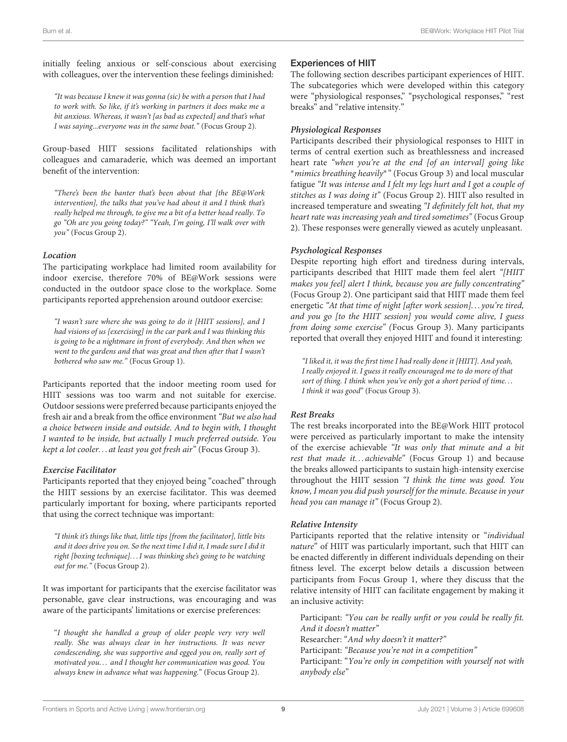initially feeling anxious or self-conscious about exercising with colleagues, over the intervention these feelings diminished:

"It was because I knew it was gonna (sic) be with a person that I had to work with. So like, if it's working in partners it does make me a bit anxious. Whereas, it wasn't [as bad as expected] and that's what I was saying...everyone was in the same boat." (Focus Group 2).

Group-based HIIT sessions facilitated relationships with colleagues and camaraderie, which was deemed an important benefit of the intervention:

"There's been the banter that's been about that [the BE@Work intervention], the talks that you've had about it and I think that's really helped me through, to give me a bit of a better head really. To go "Oh are you going today?" "Yeah, I'm going, I'll walk over with you" (Focus Group 2).

#### **Location**

The participating workplace had limited room availability for indoor exercise, therefore 70% of BE@Work sessions were conducted in the outdoor space close to the workplace. Some participants reported apprehension around outdoor exercise:

"I wasn't sure where she was going to do it [HIIT sessions], and I had visions of us [exercising] in the car park and I was thinking this is going to be a nightmare in front of everybody. And then when we went to the gardens and that was great and then after that I wasn't bothered who saw me." (Focus Group 1).

Participants reported that the indoor meeting room used for HIIT sessions was too warm and not suitable for exercise. Outdoor sessions were preferred because participants enjoyed the fresh air and a break from the office environment "But we also had a choice between inside and outside. And to begin with, I thought I wanted to be inside, but actually I much preferred outside. You kept a lot cooler. . . at least you got fresh air" (Focus Group 3).

#### **Exercise Facilitator**

Participants reported that they enjoyed being "coached" through the HIIT sessions by an exercise facilitator. This was deemed particularly important for boxing, where participants reported that using the correct technique was important:

"I think it's things like that, little tips [from the facilitator], little bits and it does drive you on. So the next time I did it, I made sure I did it right [boxing technique]. . . I was thinking she's going to be watching out for me." (Focus Group 2).

It was important for participants that the exercise facilitator was personable, gave clear instructions, was encouraging and was aware of the participants' limitations or exercise preferences:

"I thought she handled a group of older people very very well really. She was always clear in her instructions. It was never condescending, she was supportive and egged you on, really sort of motivated you. . . and I thought her communication was good. You always knew in advance what was happening." (Focus Group 2).

### Experiences of HIIT

The following section describes participant experiences of HIIT. The subcategories which were developed within this category were "physiological responses," "psychological responses," "rest breaks" and "relative intensity."

#### **Physiological Responses**

Participants described their physiological responses to HIIT in terms of central exertion such as breathlessness and increased heart rate "when you're at the end [of an interval] going like <sup>∗</sup>mimics breathing heavily<sup>∗</sup> " (Focus Group 3) and local muscular fatigue "It was intense and I felt my legs hurt and I got a couple of stitches as I was doing it" (Focus Group 2). HIIT also resulted in increased temperature and sweating "I definitely felt hot, that my heart rate was increasing yeah and tired sometimes" (Focus Group 2). These responses were generally viewed as acutely unpleasant.

#### **Psychological Responses**

Despite reporting high effort and tiredness during intervals, participants described that HIIT made them feel alert "[HIIT makes you feel] alert I think, because you are fully concentrating" (Focus Group 2). One participant said that HIIT made them feel energetic "At that time of night [after work session]. . . you're tired, and you go [to the HIIT session] you would come alive, I guess from doing some exercise" (Focus Group 3). Many participants reported that overall they enjoyed HIIT and found it interesting:

"I liked it, it was the first time I had really done it [HIIT]. And yeah, I really enjoyed it. I guess it really encouraged me to do more of that sort of thing. I think when you've only got a short period of time... I think it was good" (Focus Group 3).

#### **Rest Breaks**

The rest breaks incorporated into the BE@Work HIIT protocol were perceived as particularly important to make the intensity of the exercise achievable "It was only that minute and a bit rest that made it... achievable" (Focus Group 1) and because the breaks allowed participants to sustain high-intensity exercise throughout the HIIT session "I think the time was good. You know, I mean you did push yourself for the minute. Because in your head you can manage it" (Focus Group 2).

#### **Relative Intensity**

Participants reported that the relative intensity or "individual nature" of HIIT was particularly important, such that HIIT can be enacted differently in different individuals depending on their fitness level. The excerpt below details a discussion between participants from Focus Group 1, where they discuss that the relative intensity of HIIT can facilitate engagement by making it an inclusive activity:

Participant: "You can be really unfit or you could be really fit. And it doesn't matter" Researcher: "And why doesn't it matter?" Participant: "Because you're not in a competition" Participant: "You're only in competition with yourself not with anybody else"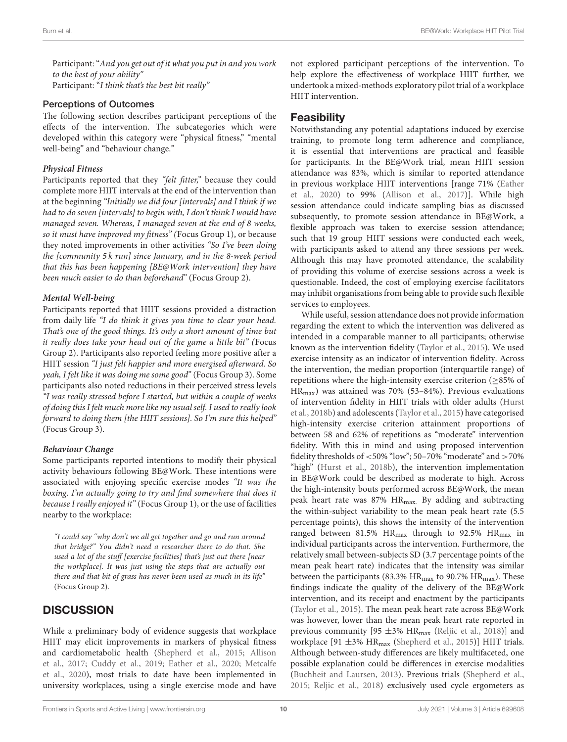Participant: "And you get out of it what you put in and you work to the best of your ability" Participant: "I think that's the best bit really"

#### Perceptions of Outcomes

The following section describes participant perceptions of the effects of the intervention. The subcategories which were developed within this category were "physical fitness," "mental well-being" and "behaviour change."

#### **Physical Fitness**

Participants reported that they "felt fitter," because they could complete more HIIT intervals at the end of the intervention than at the beginning "Initially we did four [intervals] and I think if we had to do seven [intervals] to begin with, I don't think I would have managed seven. Whereas, I managed seven at the end of 8 weeks, so it must have improved my fitness" (Focus Group 1), or because they noted improvements in other activities "So I've been doing the [community 5 k run] since January, and in the 8-week period that this has been happening [BE@Work intervention] they have been much easier to do than beforehand" (Focus Group 2).

#### **Mental Well-being**

Participants reported that HIIT sessions provided a distraction from daily life "I do think it gives you time to clear your head. That's one of the good things. It's only a short amount of time but it really does take your head out of the game a little bit" (Focus Group 2). Participants also reported feeling more positive after a HIIT session "I just felt happier and more energised afterward. So yeah, I felt like it was doing me some good" (Focus Group 3). Some participants also noted reductions in their perceived stress levels "I was really stressed before I started, but within a couple of weeks of doing this I felt much more like my usual self. I used to really look forward to doing them [the HIIT sessions]. So I'm sure this helped" (Focus Group 3).

#### **Behaviour Change**

Some participants reported intentions to modify their physical activity behaviours following BE@Work. These intentions were associated with enjoying specific exercise modes "It was the boxing. I'm actually going to try and find somewhere that does it because I really enjoyed it" (Focus Group 1), or the use of facilities nearby to the workplace:

"I could say "why don't we all get together and go and run around that bridge?" You didn't need a researcher there to do that. She used a lot of the stuff [exercise facilities] that's just out there [near the workplace]. It was just using the steps that are actually out there and that bit of grass has never been used as much in its life" (Focus Group 2).

# **DISCUSSION**

While a preliminary body of evidence suggests that workplace HIIT may elicit improvements in markers of physical fitness and cardiometabolic health [\(Shepherd et al., 2015;](#page-16-5) Allison et al., [2017;](#page-14-4) [Cuddy et al., 2019;](#page-15-3) [Eather et al., 2020;](#page-15-4) Metcalfe et al., [2020\)](#page-15-5), most trials to date have been implemented in university workplaces, using a single exercise mode and have not explored participant perceptions of the intervention. To help explore the effectiveness of workplace HIIT further, we undertook a mixed-methods exploratory pilot trial of a workplace HIIT intervention.

### Feasibility

Notwithstanding any potential adaptations induced by exercise training, to promote long term adherence and compliance, it is essential that interventions are practical and feasible for participants. In the BE@Work trial, mean HIIT session attendance was 83%, which is similar to reported attendance in previous workplace HIIT interventions [range 71% (Eather et al., [2020\)](#page-15-4) to 99% [\(Allison et al., 2017\)](#page-14-4)]. While high session attendance could indicate sampling bias as discussed subsequently, to promote session attendance in BE@Work, a flexible approach was taken to exercise session attendance; such that 19 group HIIT sessions were conducted each week, with participants asked to attend any three sessions per week. Although this may have promoted attendance, the scalability of providing this volume of exercise sessions across a week is questionable. Indeed, the cost of employing exercise facilitators may inhibit organisations from being able to provide such flexible services to employees.

While useful, session attendance does not provide information regarding the extent to which the intervention was delivered as intended in a comparable manner to all participants; otherwise known as the intervention fidelity [\(Taylor et al., 2015\)](#page-16-16). We used exercise intensity as an indicator of intervention fidelity. Across the intervention, the median proportion (interquartile range) of repetitions where the high-intensity exercise criterion ( $\geq$ 85% of HRmax) was attained was 70% (53–84%). Previous evaluations of intervention fidelity in HIIT trials with older adults (Hurst et al., [2018b\)](#page-15-21) and adolescents [\(Taylor et al., 2015\)](#page-16-16) have categorised high-intensity exercise criterion attainment proportions of between 58 and 62% of repetitions as "moderate" intervention fidelity. With this in mind and using proposed intervention fidelity thresholds of <50% "low"; 50–70% "moderate" and >70% "high" [\(Hurst et al., 2018b\)](#page-15-21), the intervention implementation in BE@Work could be described as moderate to high. Across the high-intensity bouts performed across BE@Work, the mean peak heart rate was 87% HRmax. By adding and subtracting the within-subject variability to the mean peak heart rate (5.5 percentage points), this shows the intensity of the intervention ranged between 81.5%  $HR_{max}$  through to 92.5%  $HR_{max}$  in individual participants across the intervention. Furthermore, the relatively small between-subjects SD (3.7 percentage points of the mean peak heart rate) indicates that the intensity was similar between the participants (83.3%  $HR_{max}$  to 90.7%  $HR_{max}$ ). These findings indicate the quality of the delivery of the BE@Work intervention, and its receipt and enactment by the participants [\(Taylor et al., 2015\)](#page-16-16). The mean peak heart rate across BE@Work was however, lower than the mean peak heart rate reported in previous community [95  $\pm$ 3% HR<sub>max</sub> [\(Reljic et al., 2018\)](#page-16-19)] and workplace [91  $\pm$ 3% HR<sub>max</sub> [\(Shepherd et al., 2015\)](#page-16-5)] HIIT trials. Although between-study differences are likely multifaceted, one possible explanation could be differences in exercise modalities [\(Buchheit and Laursen, 2013\)](#page-14-15). Previous trials [\(Shepherd et al.,](#page-16-5) [2015;](#page-16-5) [Reljic et al., 2018\)](#page-16-19) exclusively used cycle ergometers as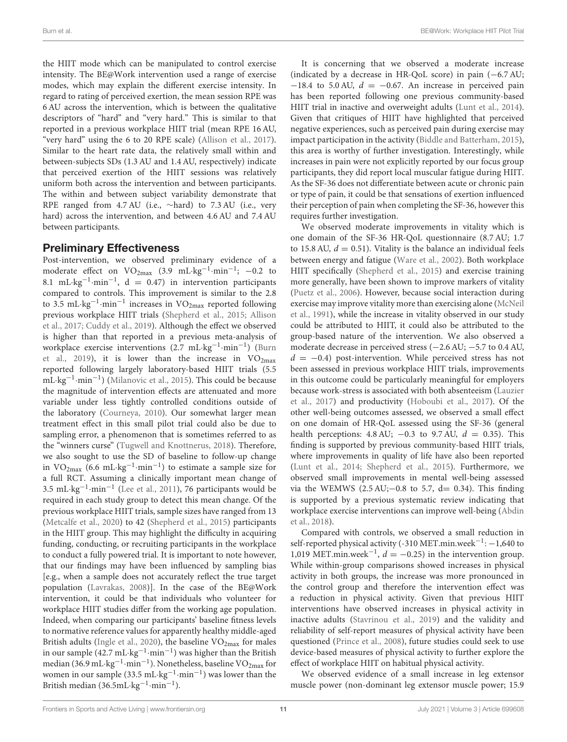the HIIT mode which can be manipulated to control exercise intensity. The BE@Work intervention used a range of exercise modes, which may explain the different exercise intensity. In regard to rating of perceived exertion, the mean session RPE was 6 AU across the intervention, which is between the qualitative descriptors of "hard" and "very hard." This is similar to that reported in a previous workplace HIIT trial (mean RPE 16 AU, "very hard" using the 6 to 20 RPE scale) [\(Allison et al., 2017\)](#page-14-4). Similar to the heart rate data, the relatively small within and between-subjects SDs (1.3 AU and 1.4 AU, respectively) indicate that perceived exertion of the HIIT sessions was relatively uniform both across the intervention and between participants. The within and between subject variability demonstrate that RPE ranged from 4.7 AU (i.e., ∼hard) to 7.3 AU (i.e., very hard) across the intervention, and between 4.6 AU and 7.4 AU between participants.

# Preliminary Effectiveness

Post-intervention, we observed preliminary evidence of a moderate effect on  $VO_{2max}$  (3.9 mL·kg<sup>-1</sup>·min<sup>-1</sup>; -0.2 to 8.1 mL·kg<sup>-1</sup>·min<sup>-1</sup>, d = 0.47) in intervention participants compared to controls. This improvement is similar to the 2.8 to 3.5 mL·kg $^{-1}\cdot$ min $^{-1}$  increases in VO<sub>2max</sub> reported following previous workplace HIIT trials [\(Shepherd et al., 2015;](#page-16-5) Allison et al., [2017;](#page-14-4) [Cuddy et al., 2019\)](#page-15-3). Although the effect we observed is higher than that reported in a previous meta-analysis of workplace exercise interventions (2.7 mL·kg<sup>-1</sup>·min<sup>-1</sup>) (Burn et al., [2019\)](#page-14-2), it is lower than the increase in  $VO<sub>2max</sub>$ reported following largely laboratory-based HIIT trials (5.5 mL·kg−<sup>1</sup> ·min−<sup>1</sup> ) [\(Milanovic et al., 2015\)](#page-15-1). This could be because the magnitude of intervention effects are attenuated and more variable under less tightly controlled conditions outside of the laboratory [\(Courneya, 2010\)](#page-14-1). Our somewhat larger mean treatment effect in this small pilot trial could also be due to sampling error, a phenomenon that is sometimes referred to as the "winners curse" [\(Tugwell and Knottnerus, 2018\)](#page-16-20). Therefore, we also sought to use the SD of baseline to follow-up change in  $\text{VO}_{2\text{max}}$  (6.6 mL·kg<sup>-1</sup>·min<sup>-1</sup>) to estimate a sample size for a full RCT. Assuming a clinically important mean change of 3.5 mL·kg−<sup>1</sup> ·min−<sup>1</sup> [\(Lee et al., 2011\)](#page-15-20), 76 participants would be required in each study group to detect this mean change. Of the previous workplace HIIT trials, sample sizes have ranged from 13 [\(Metcalfe et al., 2020\)](#page-15-5) to 42 [\(Shepherd et al., 2015\)](#page-16-5) participants in the HIIT group. This may highlight the difficulty in acquiring funding, conducting, or recruiting participants in the workplace to conduct a fully powered trial. It is important to note however, that our findings may have been influenced by sampling bias [e.g., when a sample does not accurately reflect the true target population [\(Lavrakas, 2008\)](#page-15-22)]. In the case of the BE@Work intervention, it could be that individuals who volunteer for workplace HIIT studies differ from the working age population. Indeed, when comparing our participants' baseline fitness levels to normative reference values for apparently healthy middle-aged British adults [\(Ingle et al., 2020\)](#page-15-23), the baseline  $VO<sub>2max</sub>$  for males in our sample (42.7 mL·kg<sup>-1</sup>·min<sup>-1</sup>) was higher than the British median (36.9 mL·kg<sup>-1</sup>·min<sup>-1</sup>). Nonetheless, baseline VO<sub>2max</sub> for women in our sample (33.5 mL·kg<sup>-1</sup>·min<sup>-1</sup>) was lower than the British median (36.5mL·kg−<sup>1</sup> ·min−<sup>1</sup> ).

It is concerning that we observed a moderate increase (indicated by a decrease in HR-QoL score) in pain (−6.7 AU;  $-18.4$  to 5.0 AU,  $d = -0.67$ . An increase in perceived pain has been reported following one previous community-based HIIT trial in inactive and overweight adults [\(Lunt et al., 2014\)](#page-15-24). Given that critiques of HIIT have highlighted that perceived negative experiences, such as perceived pain during exercise may impact participation in the activity [\(Biddle and Batterham, 2015\)](#page-14-0), this area is worthy of further investigation. Interestingly, while increases in pain were not explicitly reported by our focus group participants, they did report local muscular fatigue during HIIT. As the SF-36 does not differentiate between acute or chronic pain or type of pain, it could be that sensations of exertion influenced their perception of pain when completing the SF-36, however this requires further investigation.

We observed moderate improvements in vitality which is one domain of the SF-36 HR-QoL questionnaire (8.7 AU; 1.7 to 15.8 AU,  $d = 0.51$ ). Vitality is the balance an individual feels between energy and fatigue [\(Ware et al., 2002\)](#page-16-14). Both workplace HIIT specifically [\(Shepherd et al., 2015\)](#page-16-5) and exercise training more generally, have been shown to improve markers of vitality [\(Puetz et al., 2006\)](#page-16-21). However, because social interaction during exercise may improve vitality more than exercising alone (McNeil et al., [1991\)](#page-15-25), while the increase in vitality observed in our study could be attributed to HIIT, it could also be attributed to the group-based nature of the intervention. We also observed a moderate decrease in perceived stress (−2.6 AU; −5.7 to 0.4 AU,  $d = -0.4$ ) post-intervention. While perceived stress has not been assessed in previous workplace HIIT trials, improvements in this outcome could be particularly meaningful for employers because work-stress is associated with both absenteeism (Lauzier et al., [2017\)](#page-15-26) and productivity [\(Hoboubi et al., 2017\)](#page-15-27). Of the other well-being outcomes assessed, we observed a small effect on one domain of HR-QoL assessed using the SF-36 (general health perceptions: 4.8 AU;  $-0.3$  to 9.7 AU,  $d = 0.35$ ). This finding is supported by previous community-based HIIT trials, where improvements in quality of life have also been reported [\(Lunt et al., 2014;](#page-15-24) [Shepherd et al., 2015\)](#page-16-5). Furthermore, we observed small improvements in mental well-being assessed via the WEMWS (2.5 AU; $-0.8$  to 5.7, d= 0.34). This finding is supported by a previous systematic review indicating that workplace exercise interventions can improve well-being (Abdin et al., [2018\)](#page-14-3).

Compared with controls, we observed a small reduction in self-reported physical activity (-310 MET.min.week<sup>-1</sup>: -1,640 to 1,019 MET.min.week<sup>-1</sup>,  $d = -0.25$ ) in the intervention group. While within-group comparisons showed increases in physical activity in both groups, the increase was more pronounced in the control group and therefore the intervention effect was a reduction in physical activity. Given that previous HIIT interventions have observed increases in physical activity in inactive adults [\(Stavrinou et al., 2019\)](#page-16-22) and the validity and reliability of self-report measures of physical activity have been questioned [\(Prince et al., 2008\)](#page-16-23), future studies could seek to use device-based measures of physical activity to further explore the effect of workplace HIIT on habitual physical activity.

We observed evidence of a small increase in leg extensor muscle power (non-dominant leg extensor muscle power; 15.9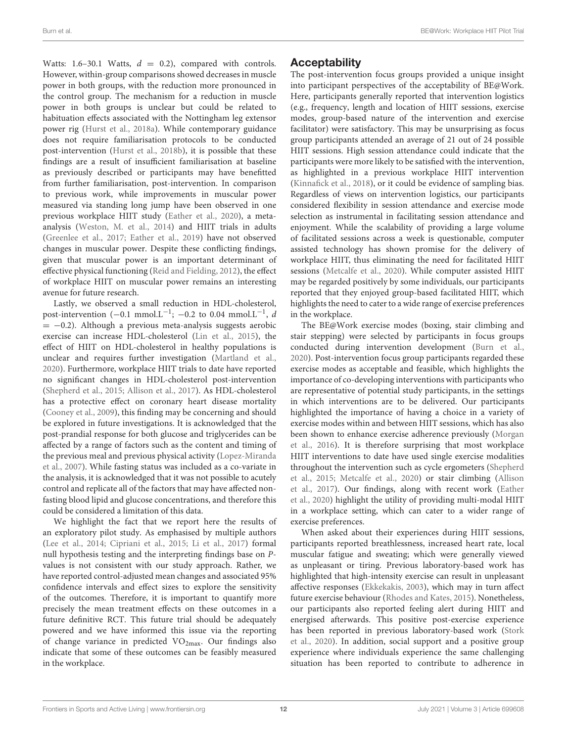Watts: 1.6–30.1 Watts,  $d = 0.2$ ), compared with controls. However, within-group comparisons showed decreases in muscle power in both groups, with the reduction more pronounced in the control group. The mechanism for a reduction in muscle power in both groups is unclear but could be related to habituation effects associated with the Nottingham leg extensor power rig [\(Hurst et al., 2018a\)](#page-15-11). While contemporary guidance does not require familiarisation protocols to be conducted post-intervention [\(Hurst et al., 2018b\)](#page-15-21), it is possible that these findings are a result of insufficient familiarisation at baseline as previously described or participants may have benefitted from further familiarisation, post-intervention. In comparison to previous work, while improvements in muscular power measured via standing long jump have been observed in one previous workplace HIIT study [\(Eather et al., 2020\)](#page-15-4), a metaanalysis [\(Weston, M. et al., 2014\)](#page-16-1) and HIIT trials in adults [\(Greenlee et al., 2017;](#page-15-28) [Eather et al., 2019\)](#page-15-29) have not observed changes in muscular power. Despite these conflicting findings, given that muscular power is an important determinant of effective physical functioning [\(Reid and Fielding, 2012\)](#page-16-24), the effect of workplace HIIT on muscular power remains an interesting avenue for future research.

Lastly, we observed a small reduction in HDL-cholesterol, post-intervention  $(-0.1 \text{ mmol.L}^{-1}; -0.2 \text{ to } 0.04 \text{ mmol.L}^{-1}, d$  $= -0.2$ ). Although a previous meta-analysis suggests aerobic exercise can increase HDL-cholesterol [\(Lin et al., 2015\)](#page-15-30), the effect of HIIT on HDL-cholesterol in healthy populations is unclear and requires further investigation [\(Martland et al.,](#page-15-31) [2020\)](#page-15-31). Furthermore, workplace HIIT trials to date have reported no significant changes in HDL-cholesterol post-intervention [\(Shepherd et al., 2015;](#page-16-5) [Allison et al., 2017\)](#page-14-4). As HDL-cholesterol has a protective effect on coronary heart disease mortality [\(Cooney et al., 2009\)](#page-14-16), this finding may be concerning and should be explored in future investigations. It is acknowledged that the post-prandial response for both glucose and triglycerides can be affected by a range of factors such as the content and timing of the previous meal and previous physical activity (Lopez-Miranda et al., [2007\)](#page-15-32). While fasting status was included as a co-variate in the analysis, it is acknowledged that it was not possible to acutely control and replicate all of the factors that may have affected nonfasting blood lipid and glucose concentrations, and therefore this could be considered a limitation of this data.

We highlight the fact that we report here the results of an exploratory pilot study. As emphasised by multiple authors [\(Lee et al., 2014;](#page-15-17) [Cipriani et al., 2015;](#page-14-17) [Li et al., 2017\)](#page-15-33) formal null hypothesis testing and the interpreting findings base on Pvalues is not consistent with our study approach. Rather, we have reported control-adjusted mean changes and associated 95% confidence intervals and effect sizes to explore the sensitivity of the outcomes. Therefore, it is important to quantify more precisely the mean treatment effects on these outcomes in a future definitive RCT. This future trial should be adequately powered and we have informed this issue via the reporting of change variance in predicted  $VO<sub>2max</sub>$ . Our findings also indicate that some of these outcomes can be feasibly measured in the workplace.

### Acceptability

The post-intervention focus groups provided a unique insight into participant perspectives of the acceptability of BE@Work. Here, participants generally reported that intervention logistics (e.g., frequency, length and location of HIIT sessions, exercise modes, group-based nature of the intervention and exercise facilitator) were satisfactory. This may be unsurprising as focus group participants attended an average of 21 out of 24 possible HIIT sessions. High session attendance could indicate that the participants were more likely to be satisfied with the intervention, as highlighted in a previous workplace HIIT intervention [\(Kinnafick et al., 2018\)](#page-15-7), or it could be evidence of sampling bias. Regardless of views on intervention logistics, our participants considered flexibility in session attendance and exercise mode selection as instrumental in facilitating session attendance and enjoyment. While the scalability of providing a large volume of facilitated sessions across a week is questionable, computer assisted technology has shown promise for the delivery of workplace HIIT, thus eliminating the need for facilitated HIIT sessions [\(Metcalfe et al., 2020\)](#page-15-5). While computer assisted HIIT may be regarded positively by some individuals, our participants reported that they enjoyed group-based facilitated HIIT, which highlights the need to cater to a wide range of exercise preferences in the workplace.

The BE@Work exercise modes (boxing, stair climbing and stair stepping) were selected by participants in focus groups conducted during intervention development [\(Burn et al.,](#page-14-5) [2020\)](#page-14-5). Post-intervention focus group participants regarded these exercise modes as acceptable and feasible, which highlights the importance of co-developing interventions with participants who are representative of potential study participants, in the settings in which interventions are to be delivered. Our participants highlighted the importance of having a choice in a variety of exercise modes within and between HIIT sessions, which has also been shown to enhance exercise adherence previously (Morgan et al., [2016\)](#page-16-25). It is therefore surprising that most workplace HIIT interventions to date have used single exercise modalities throughout the intervention such as cycle ergometers (Shepherd et al., [2015;](#page-16-5) [Metcalfe et al., 2020\)](#page-15-5) or stair climbing (Allison et al., [2017\)](#page-14-4). Our findings, along with recent work (Eather et al., [2020\)](#page-15-4) highlight the utility of providing multi-modal HIIT in a workplace setting, which can cater to a wider range of exercise preferences.

When asked about their experiences during HIIT sessions, participants reported breathlessness, increased heart rate, local muscular fatigue and sweating; which were generally viewed as unpleasant or tiring. Previous laboratory-based work has highlighted that high-intensity exercise can result in unpleasant affective responses [\(Ekkekakis, 2003\)](#page-15-34), which may in turn affect future exercise behaviour [\(Rhodes and Kates, 2015\)](#page-16-26). Nonetheless, our participants also reported feeling alert during HIIT and energised afterwards. This positive post-exercise experience has been reported in previous laboratory-based work (Stork et al., [2020\)](#page-16-27). In addition, social support and a positive group experience where individuals experience the same challenging situation has been reported to contribute to adherence in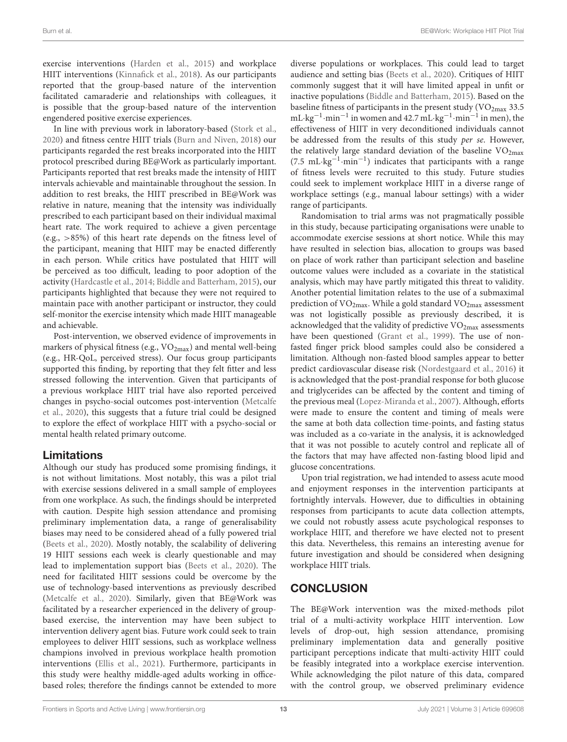exercise interventions [\(Harden et al., 2015\)](#page-15-35) and workplace HIIT interventions [\(Kinnafick et al., 2018\)](#page-15-7). As our participants reported that the group-based nature of the intervention facilitated camaraderie and relationships with colleagues, it is possible that the group-based nature of the intervention engendered positive exercise experiences.

In line with previous work in laboratory-based [\(Stork et al.,](#page-16-27) [2020\)](#page-16-27) and fitness centre HIIT trials [\(Burn and Niven, 2018\)](#page-14-18) our participants regarded the rest breaks incorporated into the HIIT protocol prescribed during BE@Work as particularly important. Participants reported that rest breaks made the intensity of HIIT intervals achievable and maintainable throughout the session. In addition to rest breaks, the HIIT prescribed in BE@Work was relative in nature, meaning that the intensity was individually prescribed to each participant based on their individual maximal heart rate. The work required to achieve a given percentage (e.g., >85%) of this heart rate depends on the fitness level of the participant, meaning that HIIT may be enacted differently in each person. While critics have postulated that HIIT will be perceived as too difficult, leading to poor adoption of the activity [\(Hardcastle et al., 2014;](#page-15-36) [Biddle and Batterham, 2015\)](#page-14-0), our participants highlighted that because they were not required to maintain pace with another participant or instructor, they could self-monitor the exercise intensity which made HIIT manageable and achievable.

Post-intervention, we observed evidence of improvements in markers of physical fitness (e.g.,  $VO_{2max}$ ) and mental well-being (e.g., HR-QoL, perceived stress). Our focus group participants supported this finding, by reporting that they felt fitter and less stressed following the intervention. Given that participants of a previous workplace HIIT trial have also reported perceived changes in psycho-social outcomes post-intervention (Metcalfe et al., [2020\)](#page-15-5), this suggests that a future trial could be designed to explore the effect of workplace HIIT with a psycho-social or mental health related primary outcome.

# Limitations

Although our study has produced some promising findings, it is not without limitations. Most notably, this was a pilot trial with exercise sessions delivered in a small sample of employees from one workplace. As such, the findings should be interpreted with caution. Despite high session attendance and promising preliminary implementation data, a range of generalisability biases may need to be considered ahead of a fully powered trial [\(Beets et al., 2020\)](#page-14-19). Mostly notably, the scalability of delivering 19 HIIT sessions each week is clearly questionable and may lead to implementation support bias [\(Beets et al., 2020\)](#page-14-19). The need for facilitated HIIT sessions could be overcome by the use of technology-based interventions as previously described [\(Metcalfe et al., 2020\)](#page-15-5). Similarly, given that BE@Work was facilitated by a researcher experienced in the delivery of groupbased exercise, the intervention may have been subject to intervention delivery agent bias. Future work could seek to train employees to deliver HIIT sessions, such as workplace wellness champions involved in previous workplace health promotion interventions [\(Ellis et al., 2021\)](#page-15-37). Furthermore, participants in this study were healthy middle-aged adults working in officebased roles; therefore the findings cannot be extended to more diverse populations or workplaces. This could lead to target audience and setting bias [\(Beets et al., 2020\)](#page-14-19). Critiques of HIIT commonly suggest that it will have limited appeal in unfit or inactive populations [\(Biddle and Batterham, 2015\)](#page-14-0). Based on the baseline fitness of participants in the present study  $(\rm VO_{2max} 33.5$ mL·kg−<sup>1</sup> ·min−<sup>1</sup> in women and 42.7 mL·kg−<sup>1</sup> ·min−<sup>1</sup> in men), the effectiveness of HIIT in very deconditioned individuals cannot be addressed from the results of this study per se. However, the relatively large standard deviation of the baseline  $VO<sub>2max</sub>$ (7.5 mL·kg−<sup>1</sup> ·min−<sup>1</sup> ) indicates that participants with a range of fitness levels were recruited to this study. Future studies could seek to implement workplace HIIT in a diverse range of workplace settings (e.g., manual labour settings) with a wider range of participants.

Randomisation to trial arms was not pragmatically possible in this study, because participating organisations were unable to accommodate exercise sessions at short notice. While this may have resulted in selection bias, allocation to groups was based on place of work rather than participant selection and baseline outcome values were included as a covariate in the statistical analysis, which may have partly mitigated this threat to validity. Another potential limitation relates to the use of a submaximal prediction of  $VO_{2max}$ . While a gold standard  $VO_{2max}$  assessment was not logistically possible as previously described, it is acknowledged that the validity of predictive  $VO<sub>2max</sub>$  assessments have been questioned [\(Grant et al., 1999\)](#page-15-38). The use of nonfasted finger prick blood samples could also be considered a limitation. Although non-fasted blood samples appear to better predict cardiovascular disease risk [\(Nordestgaard et al., 2016\)](#page-16-28) it is acknowledged that the post-prandial response for both glucose and triglycerides can be affected by the content and timing of the previous meal [\(Lopez-Miranda et al., 2007\)](#page-15-32). Although, efforts were made to ensure the content and timing of meals were the same at both data collection time-points, and fasting status was included as a co-variate in the analysis, it is acknowledged that it was not possible to acutely control and replicate all of the factors that may have affected non-fasting blood lipid and glucose concentrations.

Upon trial registration, we had intended to assess acute mood and enjoyment responses in the intervention participants at fortnightly intervals. However, due to difficulties in obtaining responses from participants to acute data collection attempts, we could not robustly assess acute psychological responses to workplace HIIT, and therefore we have elected not to present this data. Nevertheless, this remains an interesting avenue for future investigation and should be considered when designing workplace HIIT trials.

# **CONCLUSION**

The BE@Work intervention was the mixed-methods pilot trial of a multi-activity workplace HIIT intervention. Low levels of drop-out, high session attendance, promising preliminary implementation data and generally positive participant perceptions indicate that multi-activity HIIT could be feasibly integrated into a workplace exercise intervention. While acknowledging the pilot nature of this data, compared with the control group, we observed preliminary evidence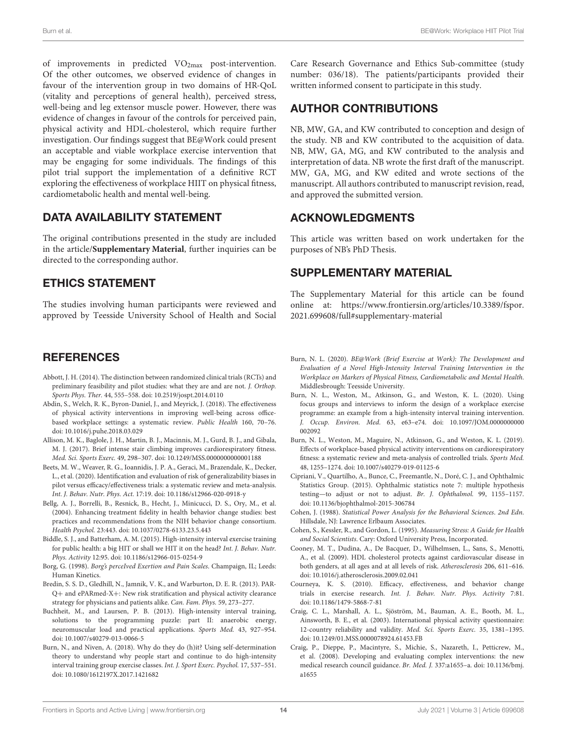of improvements in predicted VO<sub>2max</sub> post-intervention. Of the other outcomes, we observed evidence of changes in favour of the intervention group in two domains of HR-QoL (vitality and perceptions of general health), perceived stress, well-being and leg extensor muscle power. However, there was evidence of changes in favour of the controls for perceived pain, physical activity and HDL-cholesterol, which require further investigation. Our findings suggest that BE@Work could present an acceptable and viable workplace exercise intervention that may be engaging for some individuals. The findings of this pilot trial support the implementation of a definitive RCT exploring the effectiveness of workplace HIIT on physical fitness, cardiometabolic health and mental well-being.

# DATA AVAILABILITY STATEMENT

The original contributions presented in the study are included in the article/**[Supplementary Material](#page-14-20)**, further inquiries can be directed to the corresponding author.

# ETHICS STATEMENT

The studies involving human participants were reviewed and approved by Teesside University School of Health and Social

# **REFERENCES**

- <span id="page-14-7"></span>Abbott, J. H. (2014). The distinction between randomized clinical trials (RCTs) and preliminary feasibility and pilot studies: what they are and are not. J. Orthop. Sports Phys. Ther. 44, 555–558. doi: [10.2519/jospt.2014.0110](https://doi.org/10.2519/jospt.2014.0110)
- <span id="page-14-3"></span>Abdin, S., Welch, R. K., Byron-Daniel, J., and Meyrick, J. (2018). The effectiveness of physical activity interventions in improving well-being across officebased workplace settings: a systematic review. Public Health 160, 70–76. doi: [10.1016/j.puhe.2018.03.029](https://doi.org/10.1016/j.puhe.2018.03.029)
- <span id="page-14-4"></span>Allison, M. K., Baglole, J. H., Martin, B. J., Macinnis, M. J., Gurd, B. J., and Gibala, M. J. (2017). Brief intense stair climbing improves cardiorespiratory fitness. Med. Sci. Sports Exerc. 49, 298–307. doi: [10.1249/MSS.0000000000001188](https://doi.org/10.1249/MSS.0000000000001188)
- <span id="page-14-19"></span>Beets, M. W., Weaver, R. G., Ioannidis, J. P. A., Geraci, M., Brazendale, K., Decker, L., et al. (2020). Identification and evaluation of risk of generalizability biases in pilot versus efficacy/effectiveness trials: a systematic review and meta-analysis. Int. J. Behav. Nutr. Phys. Act. 17:19. doi: [10.1186/s12966-020-0918-y](https://doi.org/10.1186/s12966-020-0918-y)
- <span id="page-14-6"></span>Bellg, A. J., Borrelli, B., Resnick, B., Hecht, J., Minicucci, D. S., Ory, M., et al. (2004). Enhancing treatment fidelity in health behavior change studies: best practices and recommendations from the NIH behavior change consortium. Health Psychol. 23:443. doi: [10.1037/0278-6133.23.5.443](https://doi.org/10.1037/0278-6133.23.5.443)
- <span id="page-14-0"></span>Biddle, S. J., and Batterham, A. M. (2015). High-intensity interval exercise training for public health: a big HIT or shall we HIT it on the head? Int. J. Behav. Nutr. Phys. Activity 12:95. doi: [10.1186/s12966-015-0254-9](https://doi.org/10.1186/s12966-015-0254-9)
- <span id="page-14-11"></span>Borg, G. (1998). Borg's perceIved Exertion and Pain Scales. Champaign, IL; Leeds: Human Kinetics.
- <span id="page-14-9"></span>Bredin, S. S. D., Gledhill, N., Jamnik, V. K., and Warburton, D. E. R. (2013). PAR-Q+ and ePARmed-X+: New risk stratification and physical activity clearance strategy for physicians and patients alike. Can. Fam. Phys. 59, 273–277.
- <span id="page-14-15"></span>Buchheit, M., and Laursen, P. B. (2013). High-intensity interval training, solutions to the programming puzzle: part II: anaerobic energy, neuromuscular load and practical applications. Sports Med. 43, 927–954. doi: [10.1007/s40279-013-0066-5](https://doi.org/10.1007/s40279-013-0066-5)
- <span id="page-14-18"></span>Burn, N., and Niven, A. (2018). Why do they do (h)it? Using self-determination theory to understand why people start and continue to do high-intensity interval training group exercise classes. Int. J. Sport Exerc. Psychol. 17, 537–551. doi: [10.1080/1612197X.2017.1421682](https://doi.org/10.1080/1612197X.2017.1421682)

Care Research Governance and Ethics Sub-committee (study number: 036/18). The patients/participants provided their written informed consent to participate in this study.

# AUTHOR CONTRIBUTIONS

NB, MW, GA, and KW contributed to conception and design of the study. NB and KW contributed to the acquisition of data. NB, MW, GA, MG, and KW contributed to the analysis and interpretation of data. NB wrote the first draft of the manuscript. MW, GA, MG, and KW edited and wrote sections of the manuscript. All authors contributed to manuscript revision, read, and approved the submitted version.

# ACKNOWLEDGMENTS

This article was written based on work undertaken for the purposes of NB's PhD Thesis.

# SUPPLEMENTARY MATERIAL

<span id="page-14-20"></span>The Supplementary Material for this article can be found [online at: https://www.frontiersin.org/articles/10.3389/fspor.](https://www.frontiersin.org/articles/10.3389/fspor.2021.699608/full#supplementary-material) 2021.699608/full#supplementary-material

- <span id="page-14-10"></span>Burn, N. L. (2020). BE@Work (Brief Exercise at Work): The Development and Evaluation of a Novel High-Intensity Interval Training Intervention in the Workplace on Markers of Physical Fitness, Cardiometabolic and Mental Health. Middlesbrough: Teesside University.
- <span id="page-14-5"></span>Burn, N. L., Weston, M., Atkinson, G., and Weston, K. L. (2020). Using focus groups and interviews to inform the design of a workplace exercise programme: an example from a high-intensity interval training intervention. J. Occup. Environ. Med[. 63, e63–e74. doi: 10.1097/JOM.0000000000](https://doi.org/10.1097/JOM.0000000000002092) 002092
- <span id="page-14-2"></span>Burn, N. L., Weston, M., Maguire, N., Atkinson, G., and Weston, K. L. (2019). Effects of workplace-based physical activity interventions on cardiorespiratory fitness: a systematic review and meta-analysis of controlled trials. Sports Med. 48, 1255–1274. doi: [10.1007/s40279-019-01125-6](https://doi.org/10.1007/s40279-019-01125-6)
- <span id="page-14-17"></span>Cipriani, V., Quartilho, A., Bunce, C., Freemantle, N., Doré, C. J., and Ophthalmic Statistics Group. (2015). Ophthalmic statistics note 7: multiple hypothesis testing—to adjust or not to adjust. Br. J. Ophthalmol. 99, 1155–1157. doi: [10.1136/bjophthalmol-2015-306784](https://doi.org/10.1136/bjophthalmol-2015-306784)
- <span id="page-14-14"></span>Cohen, J. (1988). Statistical Power Analysis for the Behavioral Sciences. 2nd Edn. Hillsdale, NJ: Lawrence Erlbaum Associates.
- <span id="page-14-13"></span>Cohen, S., Kessler, R., and Gordon, L. (1995). Measuring Stress: A Guide for Health and Social Scientists. Cary: Oxford University Press, Incorporated.
- <span id="page-14-16"></span>Cooney, M. T., Dudina, A., De Bacquer, D., Wilhelmsen, L., Sans, S., Menotti, A., et al. (2009). HDL cholesterol protects against cardiovascular disease in both genders, at all ages and at all levels of risk. Atherosclerosis 206, 611–616. doi: [10.1016/j.atherosclerosis.2009.02.041](https://doi.org/10.1016/j.atherosclerosis.2009.02.041)
- <span id="page-14-1"></span>Courneya, K. S. (2010). Efficacy, effectiveness, and behavior change trials in exercise research. Int. J. Behav. Nutr. Phys. Activity 7:81. doi: [10.1186/1479-5868-7-81](https://doi.org/10.1186/1479-5868-7-81)
- <span id="page-14-12"></span>Craig, C. L., Marshall, A. L., Sjöström, M., Bauman, A. E., Booth, M. L., Ainsworth, B. E., et al. (2003). International physical activity questionnaire: 12-country reliability and validity. Med. Sci. Sports Exerc. 35, 1381–1395. doi: [10.1249/01.MSS.0000078924.61453.FB](https://doi.org/10.1249/01.MSS.0000078924.61453.FB)
- <span id="page-14-8"></span>Craig, P., Dieppe, P., Macintyre, S., Michie, S., Nazareth, I., Petticrew, M., et al. (2008). Developing and evaluating complex interventions: the new [medical research council guidance.](https://doi.org/10.1136/bmj.a1655) Br. Med. J. 337:a1655–a. doi: 10.1136/bmj. a1655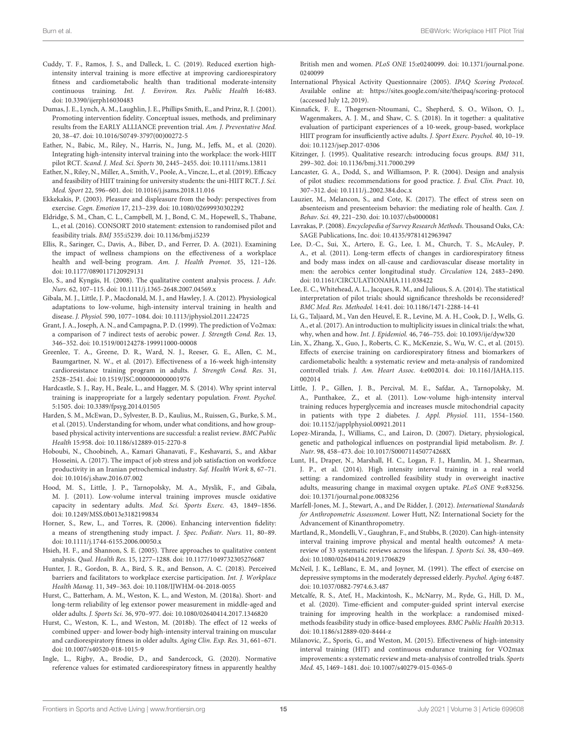- <span id="page-15-3"></span>Cuddy, T. F., Ramos, J. S., and Dalleck, L. C. (2019). Reduced exertion highintensity interval training is more effective at improving cardiorespiratory fitness and cardiometabolic health than traditional moderate-intensity continuous training. Int. J. Environ. Res. Public Health 16:483. doi: [10.3390/ijerph16030483](https://doi.org/10.3390/ijerph16030483)
- <span id="page-15-15"></span>Dumas, J. E., Lynch, A. M., Laughlin, J. E., Phillips Smith, E., and Prinz, R. J. (2001). Promoting intervention fidelity. Conceptual issues, methods, and preliminary results from the EARLY ALLIANCE prevention trial. Am. J. Preventative Med. 20, 38–47. doi: [10.1016/S0749-3797\(00\)00272-5](https://doi.org/10.1016/S0749-3797(00)00272-5)
- <span id="page-15-4"></span>Eather, N., Babic, M., Riley, N., Harris, N., Jung, M., Jeffs, M., et al. (2020). Integrating high-intensity interval training into the workplace: the work-HIIT pilot RCT. Scand. J. Med. Sci. Sports 30, 2445–2455. doi: [10.1111/sms.13811](https://doi.org/10.1111/sms.13811)
- <span id="page-15-29"></span>Eather, N., Riley, N., Miller, A., Smith, V., Poole, A., Vincze, L., et al. (2019). Efficacy and feasibility of HIIT training for university students: the uni-HIIT RCT. J. Sci. Med. Sport 22, 596–601. doi: [10.1016/j.jsams.2018.11.016](https://doi.org/10.1016/j.jsams.2018.11.016)
- <span id="page-15-34"></span>Ekkekakis, P. (2003). Pleasure and displeasure from the body: perspectives from exercise. Cogn. Emotion 17, 213–239. doi: [10.1080/02699930302292](https://doi.org/10.1080/02699930302292)
- <span id="page-15-8"></span>Eldridge, S. M., Chan, C. L., Campbell, M. J., Bond, C. M., Hopewell, S., Thabane, L., et al. (2016). CONSORT 2010 statement: extension to randomised pilot and feasibility trials. BMJ 355:i5239. doi: [10.1136/bmj.i5239](https://doi.org/10.1136/bmj.i5239)
- <span id="page-15-37"></span>Ellis, R., Saringer, C., Davis, A., Biber, D., and Ferrer, D. A. (2021). Examining the impact of wellness champions on the effectiveness of a workplace health and well-being program. Am. J. Health Promot. 35, 121–126. doi: [10.1177/0890117120929131](https://doi.org/10.1177/0890117120929131)
- <span id="page-15-19"></span>Elo, S., and Kyngäs, H. (2008). The qualitative content analysis process. J. Adv. Nurs. 62, 107–115. doi: [10.1111/j.1365-2648.2007.04569.x](https://doi.org/10.1111/j.1365-2648.2007.04569.x)
- <span id="page-15-0"></span>Gibala, M. J., Little, J. P., Macdonald, M. J., and Hawley, J. A. (2012). Physiological adaptations to low-volume, high-intensity interval training in health and disease. J. Physiol. 590, 1077–1084. doi: [10.1113/jphysiol.2011.224725](https://doi.org/10.1113/jphysiol.2011.224725)
- <span id="page-15-38"></span>Grant, J. A., Joseph, A. N., and Campagna, P. D. (1999). The prediction of Vo2max: a comparison of 7 indirect tests of aerobic power. J. Strength Cond. Res. 13, 346–352. doi: [10.1519/00124278-199911000-00008](https://doi.org/10.1519/00124278-199911000-00008)
- <span id="page-15-28"></span>Greenlee, T. A., Greene, D. R., Ward, N. J., Reeser, G. E., Allen, C. M., Baumgartner, N. W., et al. (2017). Effectiveness of a 16-week high-intensity cardioresistance training program in adults. J. Strength Cond. Res. 31, 2528–2541. doi: [10.1519/JSC.0000000000001976](https://doi.org/10.1519/JSC.0000000000001976)
- <span id="page-15-36"></span>Hardcastle, S. J., Ray, H., Beale, L., and Hagger, M. S. (2014). Why sprint interval training is inappropriate for a largely sedentary population. Front. Psychol. 5:1505. doi: [10.3389/fpsyg.2014.01505](https://doi.org/10.3389/fpsyg.2014.01505)
- <span id="page-15-35"></span>Harden, S. M., McEwan, D., Sylvester, B. D., Kaulius, M., Ruissen, G., Burke, S. M., et al. (2015). Understanding for whom, under what conditions, and how groupbased physical activity interventions are successful: a realist review. BMC Public Health 15:958. doi: [10.1186/s12889-015-2270-8](https://doi.org/10.1186/s12889-015-2270-8)
- <span id="page-15-27"></span>Hoboubi, N., Choobineh, A., Kamari Ghanavati, F., Keshavarzi, S., and Akbar Hosseini, A. (2017). The impact of job stress and job satisfaction on workforce productivity in an Iranian petrochemical industry. Saf. Health Work 8, 67–71. doi: [10.1016/j.shaw.2016.07.002](https://doi.org/10.1016/j.shaw.2016.07.002)
- <span id="page-15-9"></span>Hood, M. S., Little, J. P., Tarnopolsky, M. A., Myslik, F., and Gibala, M. J. (2011). Low-volume interval training improves muscle oxidative capacity in sedentary adults. Med. Sci. Sports Exerc. 43, 1849–1856. doi: [10.1249/MSS.0b013e3182199834](https://doi.org/10.1249/MSS.0b013e3182199834)
- <span id="page-15-6"></span>Horner, S., Rew, L., and Torres, R. (2006). Enhancing intervention fidelity: a means of strengthening study impact. J. Spec. Pediatr. Nurs. 11, 80–89. doi: [10.1111/j.1744-6155.2006.00050.x](https://doi.org/10.1111/j.1744-6155.2006.00050.x)
- <span id="page-15-18"></span>Hsieh, H. F., and Shannon, S. E. (2005). Three approaches to qualitative content analysis. Qual. Health Res. 15, 1277–1288. doi: [10.1177/1049732305276687](https://doi.org/10.1177/1049732305276687)
- <span id="page-15-2"></span>Hunter, J. R., Gordon, B. A., Bird, S. R., and Benson, A. C. (2018). Perceived barriers and facilitators to workplace exercise participation. Int. J. Workplace Health Manag. 11, 349–363. doi: [10.1108/IJWHM-04-2018-0055](https://doi.org/10.1108/IJWHM-04-2018-0055)
- <span id="page-15-11"></span>Hurst, C., Batterham, A. M., Weston, K. L., and Weston, M. (2018a). Short- and long-term reliability of leg extensor power measurement in middle-aged and older adults. J. Sports Sci. 36, 970–977. doi: [10.1080/02640414.2017.1346820](https://doi.org/10.1080/02640414.2017.1346820)
- <span id="page-15-21"></span>Hurst, C., Weston, K. L., and Weston, M. (2018b). The effect of 12 weeks of combined upper- and lower-body high-intensity interval training on muscular and cardiorespiratory fitness in older adults. Aging Clin. Exp. Res. 31, 661–671. doi: [10.1007/s40520-018-1015-9](https://doi.org/10.1007/s40520-018-1015-9)
- <span id="page-15-23"></span>Ingle, L., Rigby, A., Brodie, D., and Sandercock, G. (2020). Normative reference values for estimated cardiorespiratory fitness in apparently healthy

British men and women. PLoS ONE [15:e0240099. doi: 10.1371/journal.pone.](https://doi.org/10.1371/journal.pone.0240099) 0240099

- <span id="page-15-13"></span>International Physical Activity Questionnaire (2005). IPAQ Scoring Protocol. Available online at:<https://sites.google.com/site/theipaq/scoring-protocol> (accessed July 12, 2019).
- <span id="page-15-7"></span>Kinnafick, F. E., Thøgersen-Ntoumani, C., Shepherd, S. O., Wilson, O. J., Wagenmakers, A. J. M., and Shaw, C. S. (2018). In it together: a qualitative evaluation of participant experiences of a 10-week, group-based, workplace HIIT program for insufficiently active adults. J. Sport Exerc. Psychol. 40, 10–19. doi: [10.1123/jsep.2017-0306](https://doi.org/10.1123/jsep.2017-0306)
- <span id="page-15-14"></span>Kitzinger, J. (1995). Qualitative research: introducing focus groups. BMJ 311, 299–302. doi: [10.1136/bmj.311.7000.299](https://doi.org/10.1136/bmj.311.7000.299)
- <span id="page-15-16"></span>Lancaster, G. A., Dodd, S., and Williamson, P. R. (2004). Design and analysis of pilot studies: recommendations for good practice. J. Eval. Clin. Pract. 10, 307–312. doi: [10.1111/j..2002.384.doc.x](https://doi.org/10.1111/j..2002.384.doc.x)
- <span id="page-15-26"></span>Lauzier, M., Melancon, S., and Cote, K. (2017). The effect of stress seen on absenteeism and presenteeism behavior: the mediating role of health. Can. J. Behav. Sci. 49, 221–230. doi: [10.1037/cbs0000081](https://doi.org/10.1037/cbs0000081)
- <span id="page-15-22"></span>Lavrakas, P. (2008). Encyclopedia of Survey Research Methods. Thousand Oaks, CA: SAGE Publications, Inc. doi: [10.4135/9781412963947](https://doi.org/10.4135/9781412963947)
- <span id="page-15-20"></span>Lee, D.-C., Sui, X., Artero, E. G., Lee, I. M., Church, T. S., McAuley, P. A., et al. (2011). Long-term effects of changes in cardiorespiratory fitness and body mass index on all-cause and cardiovascular disease mortality in men: the aerobics center longitudinal study. Circulation 124, 2483–2490. doi: [10.1161/CIRCULATIONAHA.111.038422](https://doi.org/10.1161/CIRCULATIONAHA.111.038422)
- <span id="page-15-17"></span>Lee, E. C., Whitehead, A. L., Jacques, R. M., and Julious, S. A. (2014). The statistical interpretation of pilot trials: should significance thresholds be reconsidered? BMC Med. Res. Methodol. 14:41. doi: [10.1186/1471-2288-14-41](https://doi.org/10.1186/1471-2288-14-41)
- <span id="page-15-33"></span>Li, G., Taljaard, M., Van den Heuvel, E. R., Levine, M. A. H., Cook, D. J., Wells, G. A., et al. (2017). An introduction to multiplicity issues in clinical trials: the what, why, when and how. Int. J. Epidemiol. 46, 746–755. doi: [10.1093/ije/dyw320](https://doi.org/10.1093/ije/dyw320)
- <span id="page-15-30"></span>Lin, X., Zhang, X., Guo, J., Roberts, C. K., McKenzie, S., Wu, W. C., et al. (2015). Effects of exercise training on cardiorespiratory fitness and biomarkers of cardiometabolic health: a systematic review and meta-analysis of randomized controlled trials. J. Am. Heart Assoc. [4:e002014. doi: 10.1161/JAHA.115.](https://doi.org/10.1161/JAHA.115.002014) 002014
- <span id="page-15-10"></span>Little, J. P., Gillen, J. B., Percival, M. E., Safdar, A., Tarnopolsky, M. A., Punthakee, Z., et al. (2011). Low-volume high-intensity interval training reduces hyperglycemia and increases muscle mitochondrial capacity in patients with type 2 diabetes. J. Appl. Physiol. 111, 1554–1560. doi: [10.1152/japplphysiol.00921.2011](https://doi.org/10.1152/japplphysiol.00921.2011)
- <span id="page-15-32"></span>Lopez-Miranda, J., Williams, C., and Lairon, D. (2007). Dietary, physiological, genetic and pathological influences on postprandial lipid metabolism. Br. J. Nutr. 98, 458–473. doi: [10.1017/S000711450774268X](https://doi.org/10.1017/S000711450774268X)
- <span id="page-15-24"></span>Lunt, H., Draper, N., Marshall, H. C., Logan, F. J., Hamlin, M. J., Shearman, J. P., et al. (2014). High intensity interval training in a real world setting: a randomized controlled feasibility study in overweight inactive adults, measuring change in maximal oxygen uptake. PLoS ONE 9:e83256. doi: [10.1371/journal.pone.0083256](https://doi.org/10.1371/journal.pone.0083256)
- <span id="page-15-12"></span>Marfell-Jones, M. J., Stewart, A., and De Ridder, J. (2012). International Standards for Anthropometric Assessment. Lower Hutt, NZ: International Society for the Advancement of Kinanthropometry.
- <span id="page-15-31"></span>Martland, R., Mondelli, V., Gaughran, F., and Stubbs, B. (2020). Can high-intensity interval training improve physical and mental health outcomes? A metareview of 33 systematic reviews across the lifespan. J. Sports Sci. 38, 430–469. doi: [10.1080/02640414.2019.1706829](https://doi.org/10.1080/02640414.2019.1706829)
- <span id="page-15-25"></span>McNeil, J. K., LeBlanc, E. M., and Joyner, M. (1991). The effect of exercise on depressive symptoms in the moderately depressed elderly. Psychol. Aging 6:487. doi: [10.1037/0882-7974.6.3.487](https://doi.org/10.1037/0882-7974.6.3.487)
- <span id="page-15-5"></span>Metcalfe, R. S., Atef, H., Mackintosh, K., McNarry, M., Ryde, G., Hill, D. M., et al. (2020). Time-efficient and computer-guided sprint interval exercise training for improving health in the workplace: a randomised mixedmethods feasibility study in office-based employees. BMC Public Health 20:313. doi: [10.1186/s12889-020-8444-z](https://doi.org/10.1186/s12889-020-8444-z)
- <span id="page-15-1"></span>Milanovic, Z., Sporis, G., and Weston, M. (2015). Effectiveness of high-intensity interval training (HIT) and continuous endurance training for VO2max improvements: a systematic review and meta-analysis of controlled trials. Sports Med. 45, 1469–1481. doi: [10.1007/s40279-015-0365-0](https://doi.org/10.1007/s40279-015-0365-0)